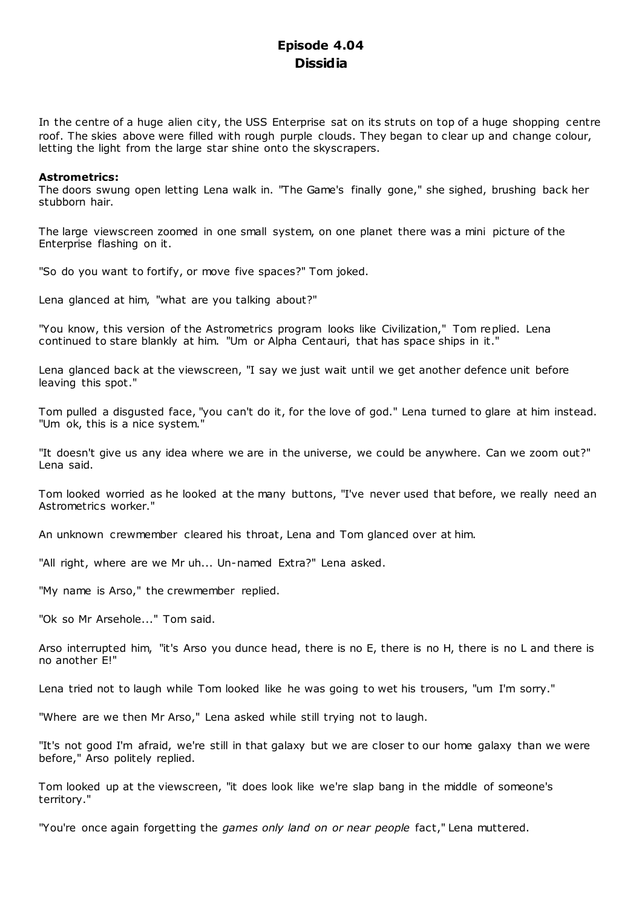# **Episode 4.04 Dissidia**

In the centre of a huge alien city, the USS Enterprise sat on its struts on top of a huge shopping centre roof. The skies above were filled with rough purple clouds. They began to clear up and change colour, letting the light from the large star shine onto the skyscrapers.

## **Astrometrics:**

The doors swung open letting Lena walk in. "The Game's finally gone," she sighed, brushing back her stubborn hair.

The large viewscreen zoomed in one small system, on one planet there was a mini picture of the Enterprise flashing on it.

"So do you want to fortify, or move five spaces?" Tom joked.

Lena glanced at him, "what are you talking about?"

"You know, this version of the Astrometrics program looks like Civilization," Tom replied. Lena continued to stare blankly at him. "Um or Alpha Centauri, that has space ships in it."

Lena glanced back at the viewscreen, "I say we just wait until we get another defence unit before leaving this spot."

Tom pulled a disgusted face, "you can't do it, for the love of god." Lena turned to glare at him instead. "Um ok, this is a nice system."

"It doesn't give us any idea where we are in the universe, we could be anywhere. Can we zoom out?" Lena said.

Tom looked worried as he looked at the many buttons, "I've never used that before, we really need an Astrometrics worker."

An unknown crewmember cleared his throat, Lena and Tom glanced over at him.

"All right, where are we Mr uh... Un-named Extra?" Lena asked.

"My name is Arso," the crewmember replied.

"Ok so Mr Arsehole..." Tom said.

Arso interrupted him, "it's Arso you dunce head, there is no E, there is no H, there is no L and there is no another E!"

Lena tried not to laugh while Tom looked like he was going to wet his trousers, "um I'm sorry."

"Where are we then Mr Arso," Lena asked while still trying not to laugh.

"It's not good I'm afraid, we're still in that galaxy but we are closer to our home galaxy than we were before," Arso politely replied.

Tom looked up at the viewscreen, "it does look like we're slap bang in the middle of someone's territory."

"You're once again forgetting the *games only land on or near people* fact," Lena muttered.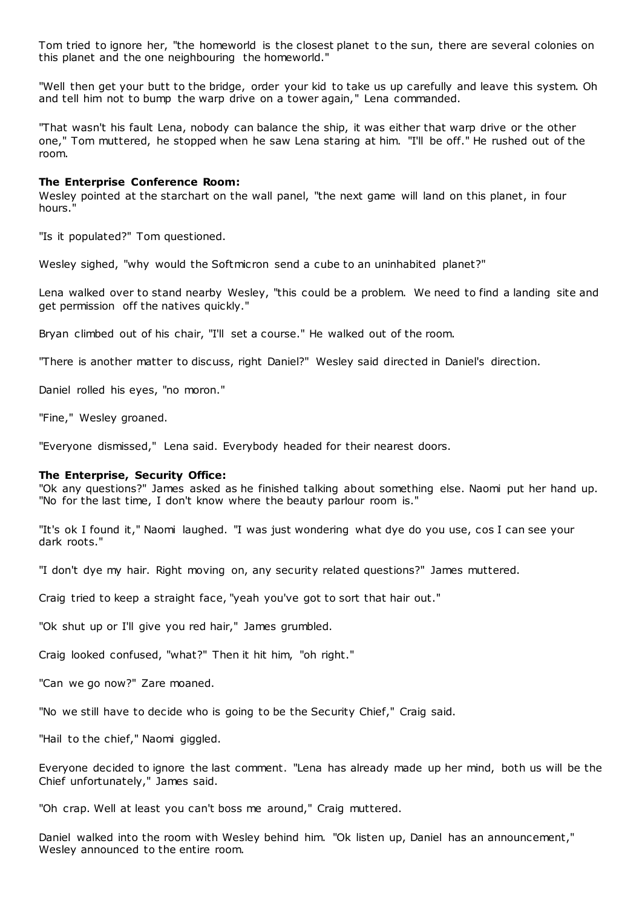Tom tried to ignore her, "the homeworld is the closest planet to the sun, there are several colonies on this planet and the one neighbouring the homeworld."

"Well then get your butt to the bridge, order your kid to take us up carefully and leave this system. Oh and tell him not to bump the warp drive on a tower again," Lena commanded.

"That wasn't his fault Lena, nobody can balance the ship, it was either that warp drive or the other one," Tom muttered, he stopped when he saw Lena staring at him. "I'll be off." He rushed out of the room.

#### **The Enterprise Conference Room:**

Wesley pointed at the starchart on the wall panel, "the next game will land on this planet, in four hours."

"Is it populated?" Tom questioned.

Wesley sighed, "why would the Softmicron send a cube to an uninhabited planet?"

Lena walked over to stand nearby Wesley, "this could be a problem. We need to find a landing site and get permission off the natives quickly."

Bryan climbed out of his chair, "I'll set a course." He walked out of the room.

"There is another matter to discuss, right Daniel?" Wesley said directed in Daniel's direction.

Daniel rolled his eyes, "no moron."

"Fine," Wesley groaned.

"Everyone dismissed," Lena said. Everybody headed for their nearest doors.

#### **The Enterprise, Security Office:**

"Ok any questions?" James asked as he finished talking about something else. Naomi put her hand up. "No for the last time, I don't know where the beauty parlour room is."

"It's ok I found it," Naomi laughed. "I was just wondering what dye do you use, cos I can see your dark roots."

"I don't dye my hair. Right moving on, any security related questions?" James muttered.

Craig tried to keep a straight face, "yeah you've got to sort that hair out."

"Ok shut up or I'll give you red hair," James grumbled.

Craig looked confused, "what?" Then it hit him, "oh right."

"Can we go now?" Zare moaned.

"No we still have to decide who is going to be the Security Chief," Craig said.

"Hail to the chief," Naomi giggled.

Everyone decided to ignore the last comment. "Lena has already made up her mind, both us will be the Chief unfortunately," James said.

"Oh crap. Well at least you can't boss me around," Craig muttered.

Daniel walked into the room with Wesley behind him. "Ok listen up, Daniel has an announcement," Wesley announced to the entire room.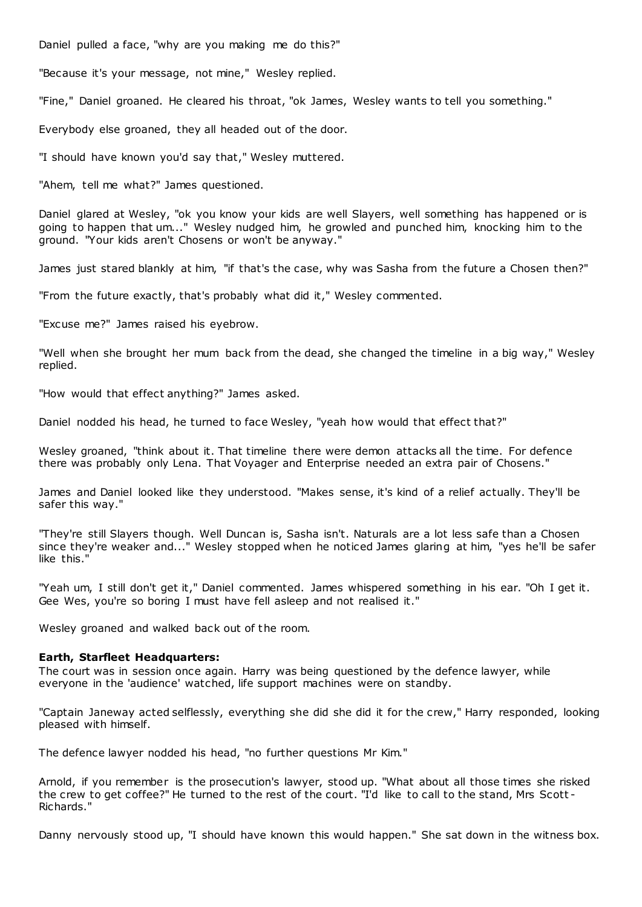Daniel pulled a face, "why are you making me do this?"

"Because it's your message, not mine," Wesley replied.

"Fine," Daniel groaned. He cleared his throat, "ok James, Wesley wants to tell you something."

Everybody else groaned, they all headed out of the door.

"I should have known you'd say that," Wesley muttered.

"Ahem, tell me what?" James questioned.

Daniel glared at Wesley, "ok you know your kids are well Slayers, well something has happened or is going to happen that um..." Wesley nudged him, he growled and punched him, knocking him to the ground. "Your kids aren't Chosens or won't be anyway."

James just stared blankly at him, "if that's the case, why was Sasha from the future a Chosen then?"

"From the future exactly, that's probably what did it," Wesley commented.

"Excuse me?" James raised his eyebrow.

"Well when she brought her mum back from the dead, she changed the timeline in a big way," Wesley replied.

"How would that effect anything?" James asked.

Daniel nodded his head, he turned to face Wesley, "yeah how would that effect that?"

Wesley groaned, "think about it. That timeline there were demon attacks all the time. For defence there was probably only Lena. That Voyager and Enterprise needed an extra pair of Chosens."

James and Daniel looked like they understood. "Makes sense, it's kind of a relief actually. They'll be safer this way."

"They're still Slayers though. Well Duncan is, Sasha isn't. Naturals are a lot less safe than a Chosen since they're weaker and..." Wesley stopped when he noticed James glaring at him, "yes he'll be safer like this."

"Yeah um, I still don't get it," Daniel commented. James whispered something in his ear. "Oh I get it. Gee Wes, you're so boring I must have fell asleep and not realised it."

Wesley groaned and walked back out of the room.

#### **Earth, Starfleet Headquarters:**

The court was in session once again. Harry was being questioned by the defence lawyer, while everyone in the 'audience' watched, life support machines were on standby.

"Captain Janeway acted selflessly, everything she did she did it for the crew," Harry responded, looking pleased with himself.

The defence lawyer nodded his head, "no further questions Mr Kim."

Arnold, if you remember is the prosecution's lawyer, stood up. "What about all those times she risked the crew to get coffee?" He turned to the rest of the court. "I'd like to call to the stand, Mrs Scott - Richards."

Danny nervously stood up, "I should have known this would happen." She sat down in the witness box.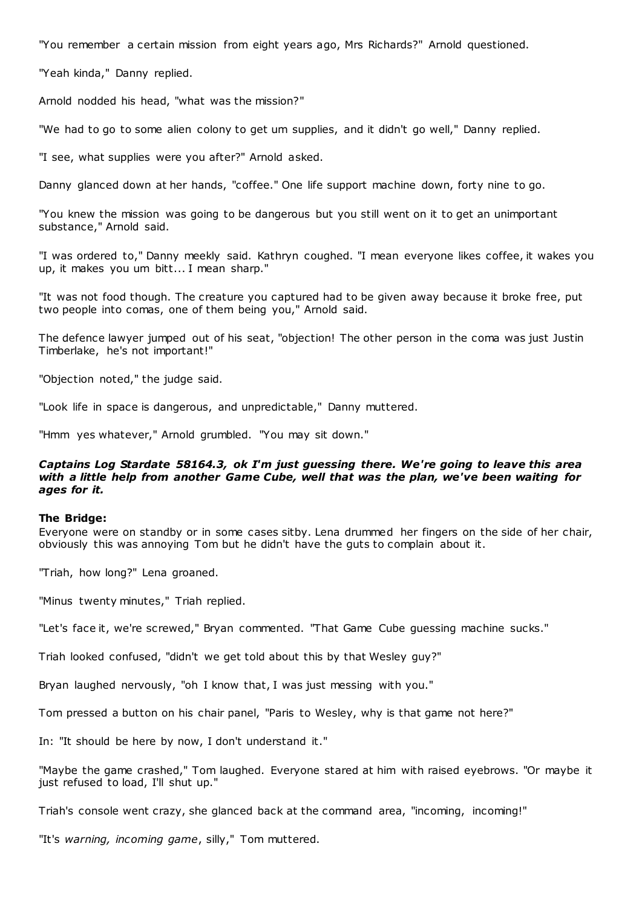"You remember a certain mission from eight years ago, Mrs Richards?" Arnold questioned.

"Yeah kinda," Danny replied.

Arnold nodded his head, "what was the mission?"

"We had to go to some alien colony to get um supplies, and it didn't go well," Danny replied.

"I see, what supplies were you after?" Arnold asked.

Danny glanced down at her hands, "coffee." One life support machine down, forty nine to go.

"You knew the mission was going to be dangerous but you still went on it to get an unimportant substance," Arnold said.

"I was ordered to," Danny meekly said. Kathryn coughed. "I mean everyone likes coffee, it wakes you up, it makes you um bitt... I mean sharp."

"It was not food though. The creature you captured had to be given away because it broke free, put two people into comas, one of them being you," Arnold said.

The defence lawyer jumped out of his seat, "objection! The other person in the coma was just Justin Timberlake, he's not important!"

"Objection noted," the judge said.

"Look life in space is dangerous, and unpredictable," Danny muttered.

"Hmm yes whatever," Arnold grumbled. "You may sit down."

# *Captains Log Stardate 58164.3, ok I'm just guessing there. We're going to leave this area with a little help from another Game Cube, well that was the plan, we've been waiting for ages for it.*

#### **The Bridge:**

Everyone were on standby or in some cases sitby. Lena drummed her fingers on the side of her chair, obviously this was annoying Tom but he didn't have the guts to complain about it.

"Triah, how long?" Lena groaned.

"Minus twenty minutes," Triah replied.

"Let's face it, we're screwed," Bryan commented. "That Game Cube guessing machine sucks."

Triah looked confused, "didn't we get told about this by that Wesley guy?"

Bryan laughed nervously, "oh I know that, I was just messing with you."

Tom pressed a button on his chair panel, "Paris to Wesley, why is that game not here?"

In: "It should be here by now, I don't understand it."

"Maybe the game crashed," Tom laughed. Everyone stared at him with raised eyebrows. "Or maybe it just refused to load, I'll shut up."

Triah's console went crazy, she glanced back at the command area, "incoming, incoming!"

"It's *warning, incoming game*, silly," Tom muttered.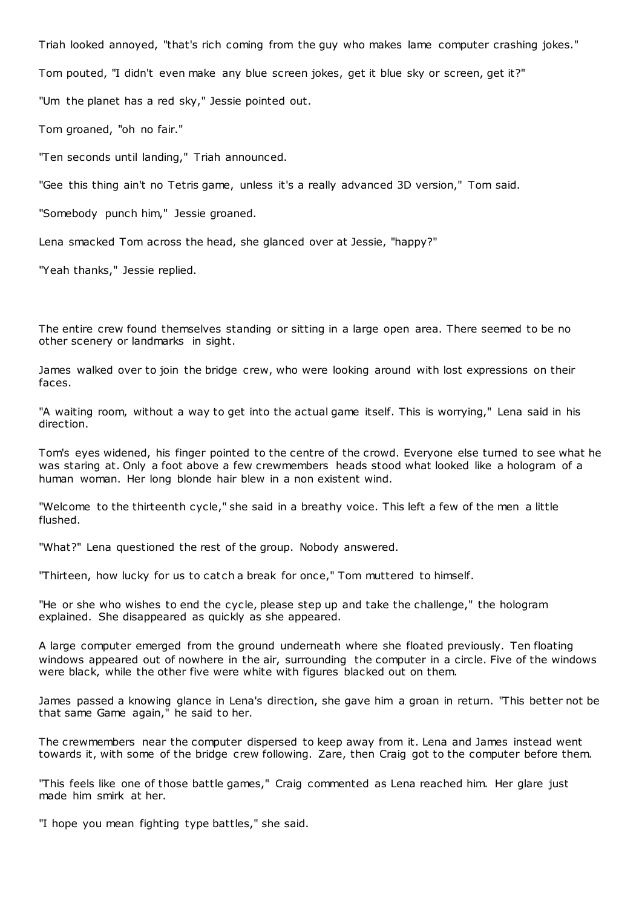Triah looked annoyed, "that's rich coming from the guy who makes lame computer crashing jokes."

Tom pouted, "I didn't even make any blue screen jokes, get it blue sky or screen, get it?"

"Um the planet has a red sky," Jessie pointed out.

Tom groaned, "oh no fair."

"Ten seconds until landing," Triah announced.

"Gee this thing ain't no Tetris game, unless it's a really advanced 3D version," Tom said.

"Somebody punch him," Jessie groaned.

Lena smacked Tom across the head, she glanced over at Jessie, "happy?"

"Yeah thanks," Jessie replied.

The entire crew found themselves standing or sitting in a large open area. There seemed to be no other scenery or landmarks in sight.

James walked over to join the bridge crew, who were looking around with lost expressions on their faces.

"A waiting room, without a way to get into the actual game itself. This is worrying," Lena said in his direction.

Tom's eyes widened, his finger pointed to the centre of the crowd. Everyone else turned to see what he was staring at. Only a foot above a few crewmembers heads stood what looked like a hologram of a human woman. Her long blonde hair blew in a non existent wind.

"Welcome to the thirteenth cycle," she said in a breathy voice. This left a few of the men a little flushed.

"What?" Lena questioned the rest of the group. Nobody answered.

"Thirteen, how lucky for us to catch a break for once," Tom muttered to himself.

"He or she who wishes to end the cycle, please step up and take the challenge," the hologram explained. She disappeared as quickly as she appeared.

A large computer emerged from the ground underneath where she floated previously. Ten floating windows appeared out of nowhere in the air, surrounding the computer in a circle. Five of the windows were black, while the other five were white with figures blacked out on them.

James passed a knowing glance in Lena's direction, she gave him a groan in return. "This better not be that same Game again," he said to her.

The crewmembers near the computer dispersed to keep away from it. Lena and James instead went towards it, with some of the bridge crew following. Zare, then Craig got to the computer before them.

"This feels like one of those battle games," Craig commented as Lena reached him. Her glare just made him smirk at her.

"I hope you mean fighting type battles," she said.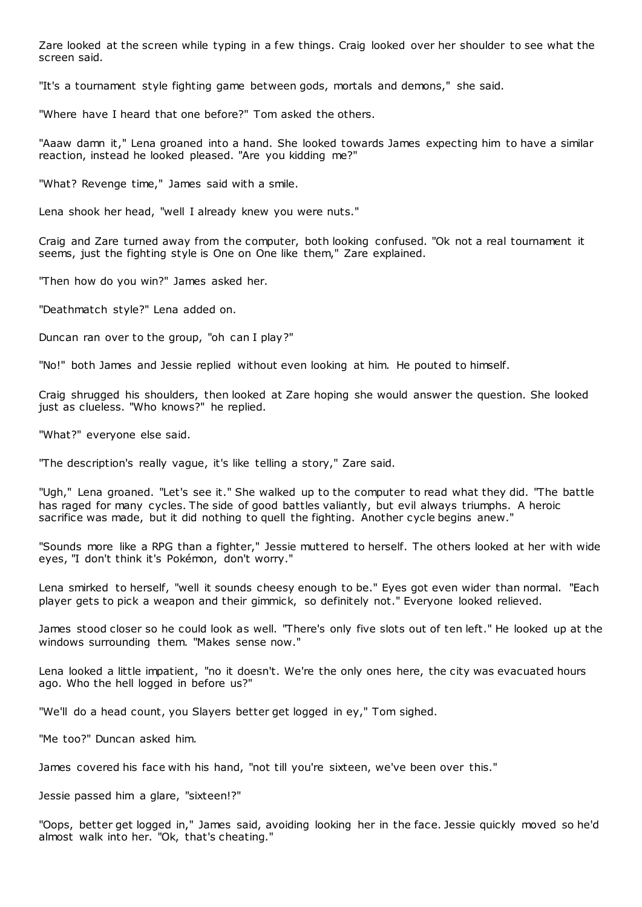Zare looked at the screen while typing in a few things. Craig looked over her shoulder to see what the screen said.

"It's a tournament style fighting game between gods, mortals and demons," she said.

"Where have I heard that one before?" Tom asked the others.

"Aaaw damn it," Lena groaned into a hand. She looked towards James expecting him to have a similar reaction, instead he looked pleased. "Are you kidding me?"

"What? Revenge time," James said with a smile.

Lena shook her head, "well I already knew you were nuts."

Craig and Zare turned away from the computer, both looking confused. "Ok not a real tournament it seems, just the fighting style is One on One like them," Zare explained.

"Then how do you win?" James asked her.

"Deathmatch style?" Lena added on.

Duncan ran over to the group, "oh can I play?"

"No!" both James and Jessie replied without even looking at him. He pouted to himself.

Craig shrugged his shoulders, then looked at Zare hoping she would answer the question. She looked just as clueless. "Who knows?" he replied.

"What?" everyone else said.

"The description's really vague, it's like telling a story," Zare said.

"Ugh," Lena groaned. "Let's see it." She walked up to the computer to read what they did. "The battle has raged for many cycles. The side of good battles valiantly, but evil always triumphs. A heroic sacrifice was made, but it did nothing to quell the fighting. Another cycle begins anew."

"Sounds more like a RPG than a fighter," Jessie muttered to herself. The others looked at her with wide eyes, "I don't think it's Pokémon, don't worry."

Lena smirked to herself, "well it sounds cheesy enough to be." Eyes got even wider than normal. "Each player gets to pick a weapon and their gimmick, so definitely not." Everyone looked relieved.

James stood closer so he could look as well. "There's only five slots out of ten left." He looked up at the windows surrounding them. "Makes sense now."

Lena looked a little impatient, "no it doesn't. We're the only ones here, the city was evacuated hours ago. Who the hell logged in before us?"

"We'll do a head count, you Slayers better get logged in ey," Tom sighed.

"Me too?" Duncan asked him.

James covered his face with his hand, "not till you're sixteen, we've been over this."

Jessie passed him a glare, "sixteen!?"

"Oops, better get logged in," James said, avoiding looking her in the face. Jessie quickly moved so he'd almost walk into her. "Ok, that's cheating."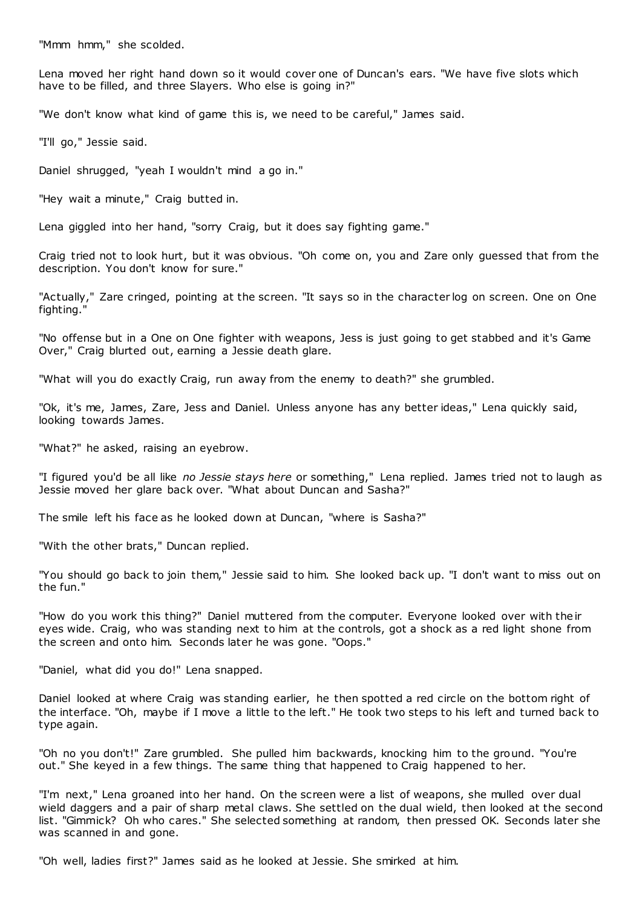"Mmm hmm," she scolded.

Lena moved her right hand down so it would cover one of Duncan's ears. "We have five slots which have to be filled, and three Slayers. Who else is going in?"

"We don't know what kind of game this is, we need to be careful," James said.

"I'll go," Jessie said.

Daniel shrugged, "yeah I wouldn't mind a go in."

"Hey wait a minute," Craig butted in.

Lena giggled into her hand, "sorry Craig, but it does say fighting game."

Craig tried not to look hurt, but it was obvious. "Oh come on, you and Zare only guessed that from the description. You don't know for sure."

"Actually," Zare cringed, pointing at the screen. "It says so in the character log on screen. One on One fighting."

"No offense but in a One on One fighter with weapons, Jess is just going to get stabbed and it's Game Over," Craig blurted out, earning a Jessie death glare.

"What will you do exactly Craig, run away from the enemy to death?" she grumbled.

"Ok, it's me, James, Zare, Jess and Daniel. Unless anyone has any better ideas," Lena quickly said, looking towards James.

"What?" he asked, raising an eyebrow.

"I figured you'd be all like *no Jessie stays here* or something," Lena replied. James tried not to laugh as Jessie moved her glare back over. "What about Duncan and Sasha?"

The smile left his face as he looked down at Duncan, "where is Sasha?"

"With the other brats," Duncan replied.

"You should go back to join them," Jessie said to him. She looked back up. "I don't want to miss out on the fun."

"How do you work this thing?" Daniel muttered from the computer. Everyone looked over with their eyes wide. Craig, who was standing next to him at the controls, got a shock as a red light shone from the screen and onto him. Seconds later he was gone. "Oops."

"Daniel, what did you do!" Lena snapped.

Daniel looked at where Craig was standing earlier, he then spotted a red circle on the bottom right of the interface. "Oh, maybe if I move a little to the left." He took two steps to his left and turned back to type again.

"Oh no you don't!" Zare grumbled. She pulled him backwards, knocking him to the ground. "You're out." She keyed in a few things. The same thing that happened to Craig happened to her.

"I'm next," Lena groaned into her hand. On the screen were a list of weapons, she mulled over dual wield daggers and a pair of sharp metal claws. She settled on the dual wield, then looked at the second list. "Gimmick? Oh who cares." She selected something at random, then pressed OK. Seconds later she was scanned in and gone.

"Oh well, ladies first?" James said as he looked at Jessie. She smirked at him.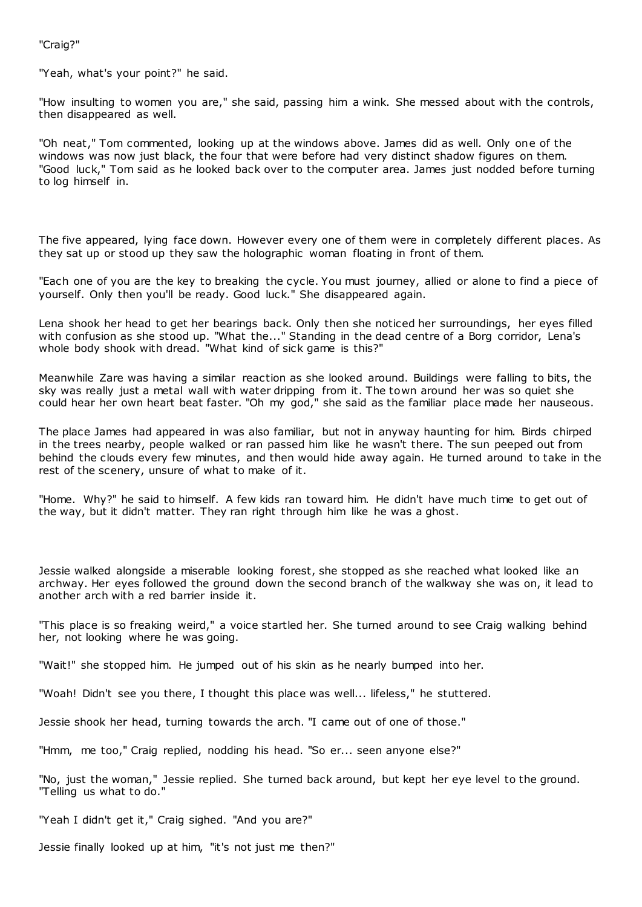"Craig?"

"Yeah, what's your point?" he said.

"How insulting to women you are," she said, passing him a wink. She messed about with the controls, then disappeared as well.

"Oh neat," Tom commented, looking up at the windows above. James did as well. Only one of the windows was now just black, the four that were before had very distinct shadow figures on them. "Good luck," Tom said as he looked back over to the computer area. James just nodded before turning to log himself in.

The five appeared, lying face down. However every one of them were in completely different places. As they sat up or stood up they saw the holographic woman floating in front of them.

"Each one of you are the key to breaking the cycle. You must journey, allied or alone to find a piece of yourself. Only then you'll be ready. Good luck." She disappeared again.

Lena shook her head to get her bearings back. Only then she noticed her surroundings, her eyes filled with confusion as she stood up. "What the..." Standing in the dead centre of a Borg corridor, Lena's whole body shook with dread. "What kind of sick game is this?"

Meanwhile Zare was having a similar reaction as she looked around. Buildings were falling to bits, the sky was really just a metal wall with water dripping from it. The town around her was so quiet she could hear her own heart beat faster. "Oh my god," she said as the familiar place made her nauseous.

The place James had appeared in was also familiar, but not in anyway haunting for him. Birds chirped in the trees nearby, people walked or ran passed him like he wasn't there. The sun peeped out from behind the clouds every few minutes, and then would hide away again. He turned around to take in the rest of the scenery, unsure of what to make of it.

"Home. Why?" he said to himself. A few kids ran toward him. He didn't have much time to get out of the way, but it didn't matter. They ran right through him like he was a ghost.

Jessie walked alongside a miserable looking forest, she stopped as she reached what looked like an archway. Her eyes followed the ground down the second branch of the walkway she was on, it lead to another arch with a red barrier inside it.

"This place is so freaking weird," a voice startled her. She turned around to see Craig walking behind her, not looking where he was going.

"Wait!" she stopped him. He jumped out of his skin as he nearly bumped into her.

"Woah! Didn't see you there, I thought this place was well... lifeless," he stuttered.

Jessie shook her head, turning towards the arch. "I came out of one of those."

"Hmm, me too," Craig replied, nodding his head. "So er... seen anyone else?"

"No, just the woman," Jessie replied. She turned back around, but kept her eye level to the ground. "Telling us what to do."

"Yeah I didn't get it," Craig sighed. "And you are?"

Jessie finally looked up at him, "it's not just me then?"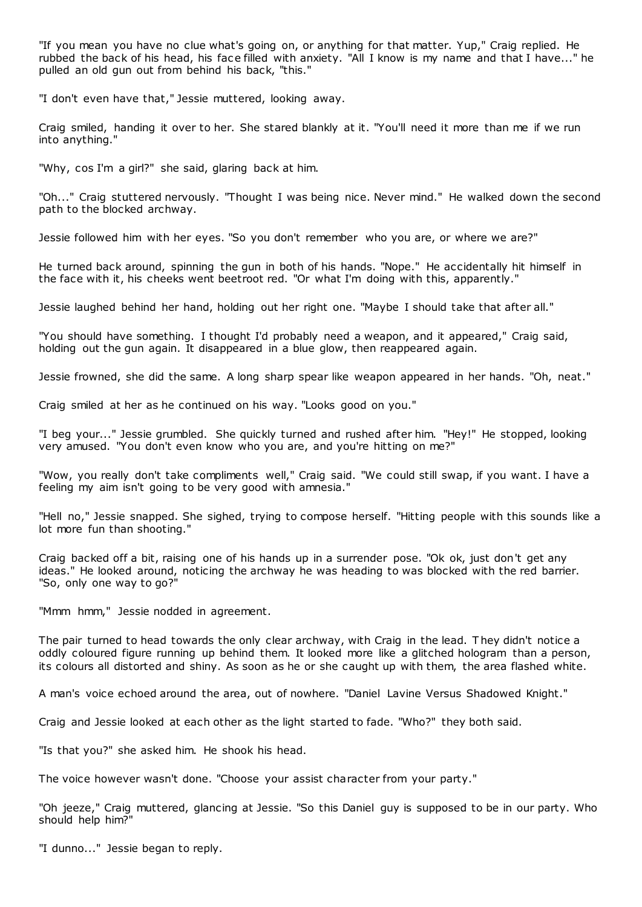"If you mean you have no clue what's going on, or anything for that matter. Yup," Craig replied. He rubbed the back of his head, his face filled with anxiety. "All I know is my name and that I have..." he pulled an old gun out from behind his back, "this."

"I don't even have that," Jessie muttered, looking away.

Craig smiled, handing it over to her. She stared blankly at it. "You'll need it more than me if we run into anything."

"Why, cos I'm a girl?" she said, glaring back at him.

"Oh..." Craig stuttered nervously. "Thought I was being nice. Never mind." He walked down the second path to the blocked archway.

Jessie followed him with her eyes. "So you don't remember who you are, or where we are?"

He turned back around, spinning the gun in both of his hands. "Nope." He accidentally hit himself in the face with it, his cheeks went beetroot red. "Or what I'm doing with this, apparently."

Jessie laughed behind her hand, holding out her right one. "Maybe I should take that after all."

"You should have something. I thought I'd probably need a weapon, and it appeared," Craig said, holding out the gun again. It disappeared in a blue glow, then reappeared again.

Jessie frowned, she did the same. A long sharp spear like weapon appeared in her hands. "Oh, neat."

Craig smiled at her as he continued on his way. "Looks good on you."

"I beg your..." Jessie grumbled. She quickly turned and rushed after him. "Hey!" He stopped, looking very amused. "You don't even know who you are, and you're hitting on me?"

"Wow, you really don't take compliments well," Craig said. "We could still swap, if you want. I have a feeling my aim isn't going to be very good with amnesia."

"Hell no," Jessie snapped. She sighed, trying to compose herself. "Hitting people with this sounds like a lot more fun than shooting."

Craig backed off a bit, raising one of his hands up in a surrender pose. "Ok ok, just don't get any ideas." He looked around, noticing the archway he was heading to was blocked with the red barrier. "So, only one way to go?"

"Mmm hmm," Jessie nodded in agreement.

The pair turned to head towards the only clear archway, with Craig in the lead. T hey didn't notice a oddly coloured figure running up behind them. It looked more like a glitched hologram than a person, its colours all distorted and shiny. As soon as he or she caught up with them, the area flashed white.

A man's voice echoed around the area, out of nowhere. "Daniel Lavine Versus Shadowed Knight."

Craig and Jessie looked at each other as the light started to fade. "Who?" they both said.

"Is that you?" she asked him. He shook his head.

The voice however wasn't done. "Choose your assist character from your party."

"Oh jeeze," Craig muttered, glancing at Jessie. "So this Daniel guy is supposed to be in our party. Who should help him?"

"I dunno..." Jessie began to reply.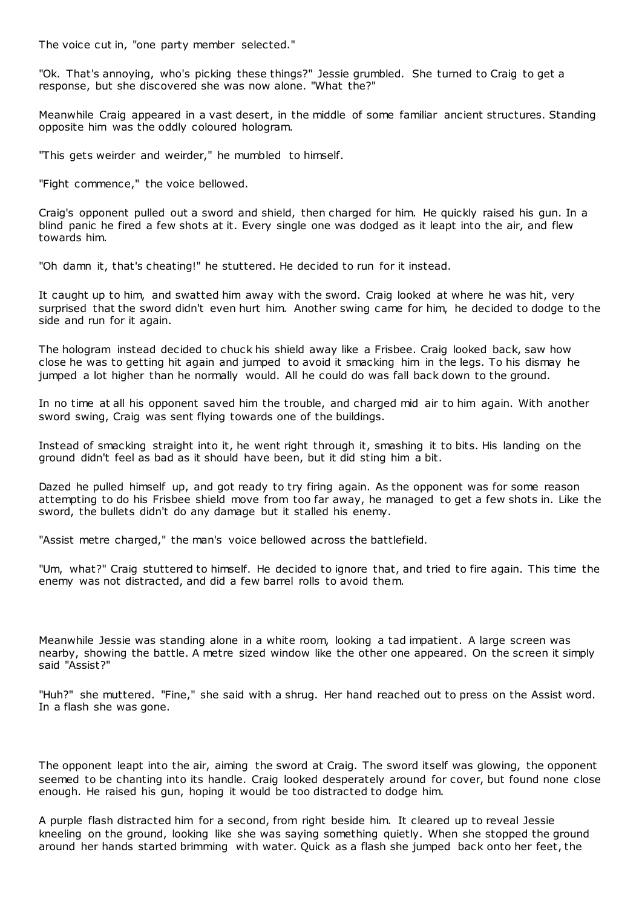The voice cut in, "one party member selected."

"Ok. That's annoying, who's picking these things?" Jessie grumbled. She turned to Craig to get a response, but she discovered she was now alone. "What the?"

Meanwhile Craig appeared in a vast desert, in the middle of some familiar ancient structures. Standing opposite him was the oddly coloured hologram.

"This gets weirder and weirder," he mumbled to himself.

"Fight commence," the voice bellowed.

Craig's opponent pulled out a sword and shield, then charged for him. He quickly raised his gun. In a blind panic he fired a few shots at it. Every single one was dodged as it leapt into the air, and flew towards him.

"Oh damn it, that's cheating!" he stuttered. He decided to run for it instead.

It caught up to him, and swatted him away with the sword. Craig looked at where he was hit, very surprised that the sword didn't even hurt him. Another swing came for him, he decided to dodge to the side and run for it again.

The hologram instead decided to chuck his shield away like a Frisbee. Craig looked back, saw how close he was to getting hit again and jumped to avoid it smacking him in the legs. To his dismay he jumped a lot higher than he normally would. All he could do was fall back down to the ground.

In no time at all his opponent saved him the trouble, and charged mid air to him again. With another sword swing, Craig was sent flying towards one of the buildings.

Instead of smacking straight into it, he went right through it, smashing it to bits. His landing on the ground didn't feel as bad as it should have been, but it did sting him a bit.

Dazed he pulled himself up, and got ready to try firing again. As the opponent was for some reason attempting to do his Frisbee shield move from too far away, he managed to get a few shots in. Like the sword, the bullets didn't do any damage but it stalled his enemy.

"Assist metre charged," the man's voice bellowed across the battlefield.

"Um, what?" Craig stuttered to himself. He decided to ignore that, and tried to fire again. This time the enemy was not distracted, and did a few barrel rolls to avoid them.

Meanwhile Jessie was standing alone in a white room, looking a tad impatient. A large screen was nearby, showing the battle. A metre sized window like the other one appeared. On the screen it simply said "Assist?"

"Huh?" she muttered. "Fine," she said with a shrug. Her hand reached out to press on the Assist word. In a flash she was gone.

The opponent leapt into the air, aiming the sword at Craig. The sword itself was glowing, the opponent seemed to be chanting into its handle. Craig looked desperately around for cover, but found none close enough. He raised his gun, hoping it would be too distracted to dodge him.

A purple flash distracted him for a second, from right beside him. It cleared up to reveal Jessie kneeling on the ground, looking like she was saying something quietly. When she stopped the ground around her hands started brimming with water. Quick as a flash she jumped back onto her feet, the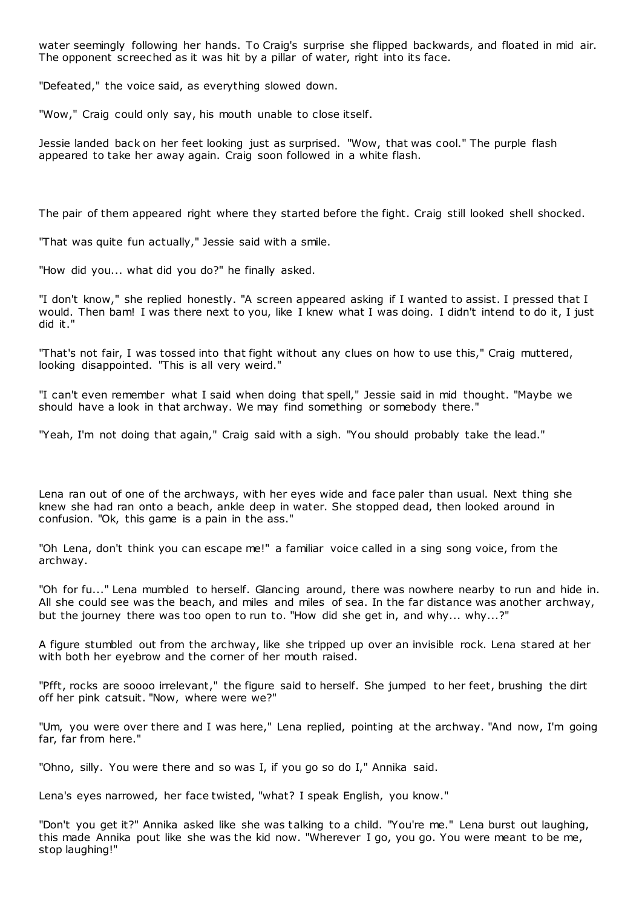water seemingly following her hands. To Craig's surprise she flipped backwards, and floated in mid air. The opponent screeched as it was hit by a pillar of water, right into its face.

"Defeated," the voice said, as everything slowed down.

"Wow," Craig could only say, his mouth unable to close itself.

Jessie landed back on her feet looking just as surprised. "Wow, that was cool." The purple flash appeared to take her away again. Craig soon followed in a white flash.

The pair of them appeared right where they started before the fight. Craig still looked shell shocked.

"That was quite fun actually," Jessie said with a smile.

"How did you... what did you do?" he finally asked.

"I don't know," she replied honestly. "A screen appeared asking if I wanted to assist. I pressed that I would. Then bam! I was there next to you, like I knew what I was doing. I didn't intend to do it, I just did it."

"That's not fair, I was tossed into that fight without any clues on how to use this," Craig muttered, looking disappointed. "This is all very weird."

"I can't even remember what I said when doing that spell," Jessie said in mid thought. "Maybe we should have a look in that archway. We may find something or somebody there."

"Yeah, I'm not doing that again," Craig said with a sigh. "You should probably take the lead."

Lena ran out of one of the archways, with her eyes wide and face paler than usual. Next thing she knew she had ran onto a beach, ankle deep in water. She stopped dead, then looked around in confusion. "Ok, this game is a pain in the ass."

"Oh Lena, don't think you can escape me!" a familiar voice called in a sing song voice, from the archway.

"Oh for fu..." Lena mumbled to herself. Glancing around, there was nowhere nearby to run and hide in. All she could see was the beach, and miles and miles of sea. In the far distance was another archway, but the journey there was too open to run to. "How did she get in, and why... why...?"

A figure stumbled out from the archway, like she tripped up over an invisible rock. Lena stared at her with both her eyebrow and the corner of her mouth raised.

"Pfft, rocks are soooo irrelevant," the figure said to herself. She jumped to her feet, brushing the dirt off her pink catsuit. "Now, where were we?"

"Um, you were over there and I was here," Lena replied, pointing at the archway. "And now, I'm going far, far from here."

"Ohno, silly. You were there and so was I, if you go so do I," Annika said.

Lena's eyes narrowed, her face twisted, "what? I speak English, you know."

"Don't you get it?" Annika asked like she was talking to a child. "You're me." Lena burst out laughing, this made Annika pout like she was the kid now. "Wherever I go, you go. You were meant to be me, stop laughing!"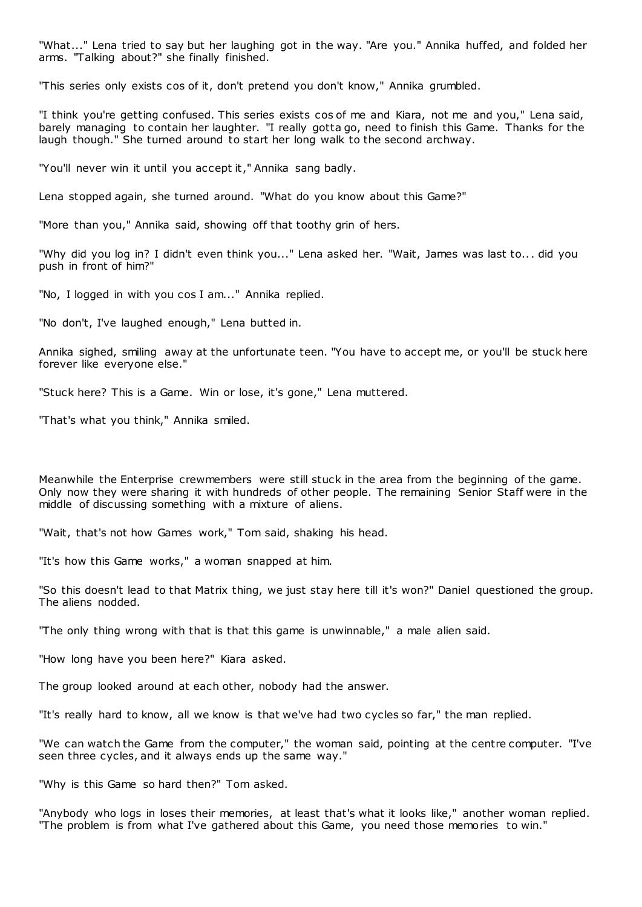"What..." Lena tried to say but her laughing got in the way. "Are you." Annika huffed, and folded her arms. "Talking about?" she finally finished.

"This series only exists cos of it, don't pretend you don't know," Annika grumbled.

"I think you're getting confused. This series exists cos of me and Kiara, not me and you," Lena said, barely managing to contain her laughter. "I really gotta go, need to finish this Game. Thanks for the laugh though." She turned around to start her long walk to the second archway.

"You'll never win it until you accept it," Annika sang badly.

Lena stopped again, she turned around. "What do you know about this Game?"

"More than you," Annika said, showing off that toothy grin of hers.

"Why did you log in? I didn't even think you..." Lena asked her. "Wait, James was last to... did you push in front of him?"

"No, I logged in with you cos I am..." Annika replied.

"No don't, I've laughed enough," Lena butted in.

Annika sighed, smiling away at the unfortunate teen. "You have to accept me, or you'll be stuck here forever like everyone else."

"Stuck here? This is a Game. Win or lose, it's gone," Lena muttered.

"That's what you think," Annika smiled.

Meanwhile the Enterprise crewmembers were still stuck in the area from the beginning of the game. Only now they were sharing it with hundreds of other people. The remaining Senior Staff were in the middle of discussing something with a mixture of aliens.

"Wait, that's not how Games work," Tom said, shaking his head.

"It's how this Game works," a woman snapped at him.

"So this doesn't lead to that Matrix thing, we just stay here till it's won?" Daniel questioned the group. The aliens nodded.

"The only thing wrong with that is that this game is unwinnable," a male alien said.

"How long have you been here?" Kiara asked.

The group looked around at each other, nobody had the answer.

"It's really hard to know, all we know is that we've had two cycles so far," the man replied.

"We can watch the Game from the computer," the woman said, pointing at the centre computer. "I've seen three cycles, and it always ends up the same way."

"Why is this Game so hard then?" Tom asked.

"Anybody who logs in loses their memories, at least that's what it looks like," another woman replied. "The problem is from what I've gathered about this Game, you need those memories to win."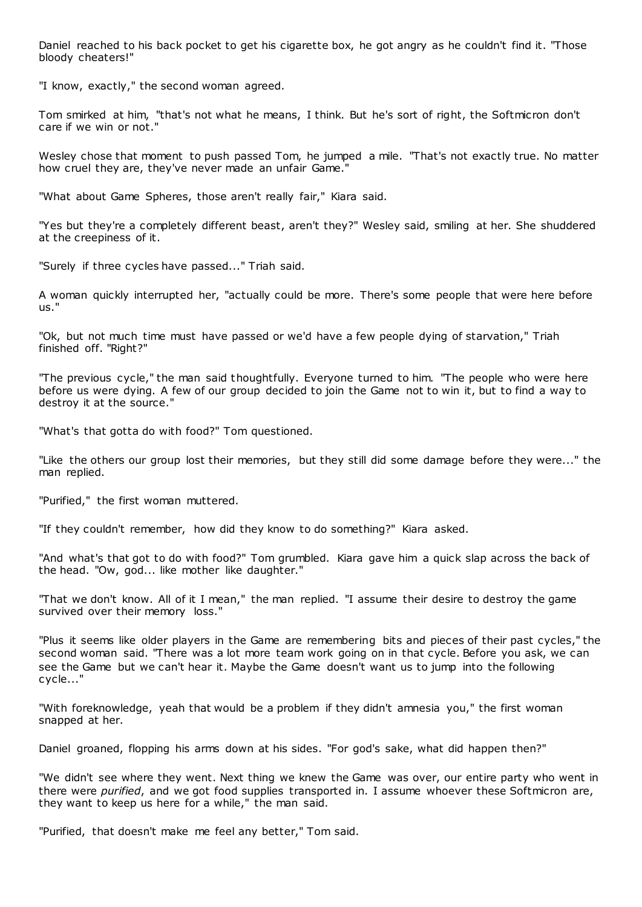Daniel reached to his back pocket to get his cigarette box, he got angry as he couldn't find it. "Those bloody cheaters!"

"I know, exactly," the second woman agreed.

Tom smirked at him, "that's not what he means, I think. But he's sort of right, the Softmicron don't care if we win or not."

Wesley chose that moment to push passed Tom, he jumped a mile. "That's not exactly true. No matter how cruel they are, they've never made an unfair Game."

"What about Game Spheres, those aren't really fair," Kiara said.

"Yes but they're a completely different beast, aren't they?" Wesley said, smiling at her. She shuddered at the creepiness of it.

"Surely if three cycles have passed..." Triah said.

A woman quickly interrupted her, "actually could be more. There's some people that were here before us."

"Ok, but not much time must have passed or we'd have a few people dying of starvation," Triah finished off. "Right?"

"The previous cycle," the man said thoughtfully. Everyone turned to him. "The people who were here before us were dying. A few of our group decided to join the Game not to win it, but to find a way to destroy it at the source."

"What's that gotta do with food?" Tom questioned.

"Like the others our group lost their memories, but they still did some damage before they were..." the man replied.

"Purified," the first woman muttered.

"If they couldn't remember, how did they know to do something?" Kiara asked.

"And what's that got to do with food?" Tom grumbled. Kiara gave him a quick slap across the back of the head. "Ow, god... like mother like daughter."

"That we don't know. All of it I mean," the man replied. "I assume their desire to destroy the game survived over their memory loss."

"Plus it seems like older players in the Game are remembering bits and pieces of their past cycles," the second woman said. "There was a lot more team work going on in that cycle. Before you ask, we can see the Game but we can't hear it. Maybe the Game doesn't want us to jump into the following cycle..."

"With foreknowledge, yeah that would be a problem if they didn't amnesia you," the first woman snapped at her.

Daniel groaned, flopping his arms down at his sides. "For god's sake, what did happen then?"

"We didn't see where they went. Next thing we knew the Game was over, our entire party who went in there were *purified*, and we got food supplies transported in. I assume whoever these Softmicron are, they want to keep us here for a while," the man said.

"Purified, that doesn't make me feel any better," Tom said.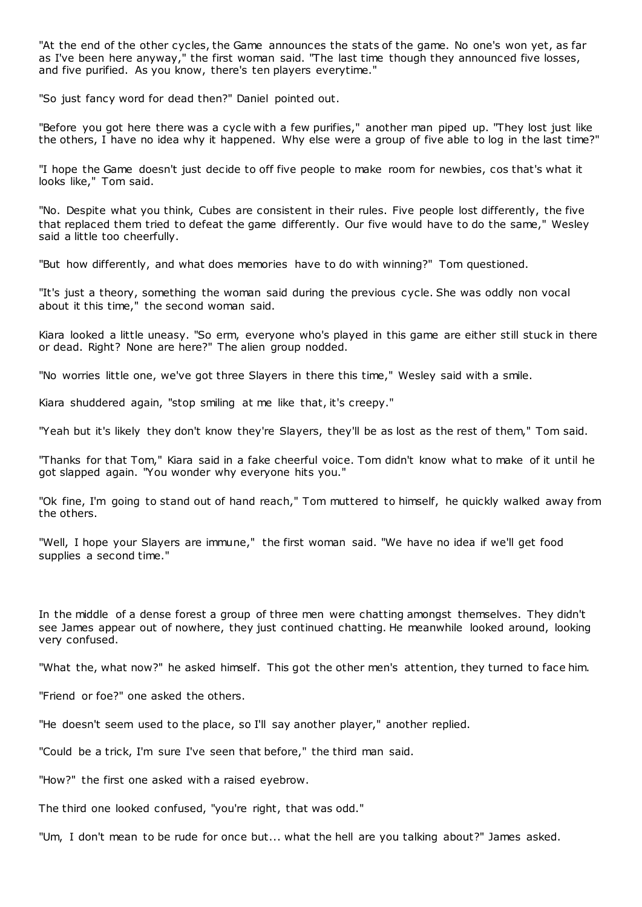"At the end of the other cycles, the Game announces the stats of the game. No one's won yet, as far as I've been here anyway," the first woman said. "The last time though they announced five losses, and five purified. As you know, there's ten players everytime."

"So just fancy word for dead then?" Daniel pointed out.

"Before you got here there was a cycle with a few purifies," another man piped up. "They lost just like the others, I have no idea why it happened. Why else were a group of five able to log in the last time?"

"I hope the Game doesn't just decide to off five people to make room for newbies, cos that's what it looks like," Tom said.

"No. Despite what you think, Cubes are consistent in their rules. Five people lost differently, the five that replaced them tried to defeat the game differently. Our five would have to do the same," Wesley said a little too cheerfully.

"But how differently, and what does memories have to do with winning?" Tom questioned.

"It's just a theory, something the woman said during the previous cycle. She was oddly non vocal about it this time," the second woman said.

Kiara looked a little uneasy. "So erm, everyone who's played in this game are either still stuck in there or dead. Right? None are here?" The alien group nodded.

"No worries little one, we've got three Slayers in there this time," Wesley said with a smile.

Kiara shuddered again, "stop smiling at me like that, it's creepy."

"Yeah but it's likely they don't know they're Slayers, they'll be as lost as the rest of them," Tom said.

"Thanks for that Tom," Kiara said in a fake cheerful voice. Tom didn't know what to make of it until he got slapped again. "You wonder why everyone hits you."

"Ok fine, I'm going to stand out of hand reach," Tom muttered to himself, he quickly walked away from the others.

"Well, I hope your Slayers are immune," the first woman said. "We have no idea if we'll get food supplies a second time."

In the middle of a dense forest a group of three men were chatting amongst themselves. They didn't see James appear out of nowhere, they just continued chatting. He meanwhile looked around, looking very confused.

"What the, what now?" he asked himself. This got the other men's attention, they turned to face him.

"Friend or foe?" one asked the others.

"He doesn't seem used to the place, so I'll say another player," another replied.

"Could be a trick, I'm sure I've seen that before," the third man said.

"How?" the first one asked with a raised eyebrow.

The third one looked confused, "you're right, that was odd."

"Um, I don't mean to be rude for once but... what the hell are you talking about?" James asked.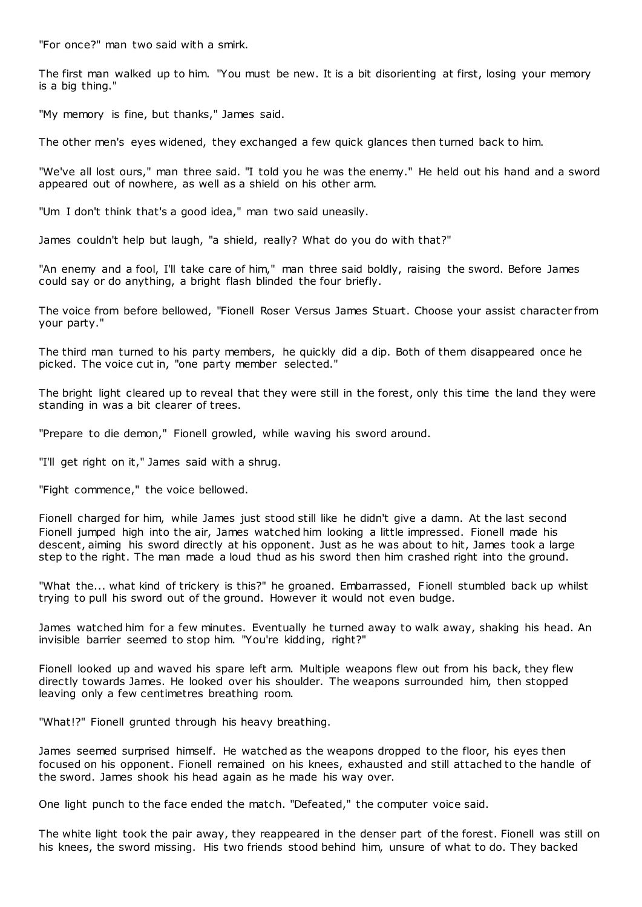"For once?" man two said with a smirk.

The first man walked up to him. "You must be new. It is a bit disorienting at first, losing your memory is a big thing."

"My memory is fine, but thanks," James said.

The other men's eyes widened, they exchanged a few quick glances then turned back to him.

"We've all lost ours," man three said. "I told you he was the enemy." He held out his hand and a sword appeared out of nowhere, as well as a shield on his other arm.

"Um I don't think that's a good idea," man two said uneasily.

James couldn't help but laugh, "a shield, really? What do you do with that?"

"An enemy and a fool, I'll take care of him," man three said boldly, raising the sword. Before James could say or do anything, a bright flash blinded the four briefly.

The voice from before bellowed, "Fionell Roser Versus James Stuart. Choose your assist character from your party."

The third man turned to his party members, he quickly did a dip. Both of them disappeared once he picked. The voice cut in, "one party member selected."

The bright light cleared up to reveal that they were still in the forest, only this time the land they were standing in was a bit clearer of trees.

"Prepare to die demon," Fionell growled, while waving his sword around.

"I'll get right on it," James said with a shrug.

"Fight commence," the voice bellowed.

Fionell charged for him, while James just stood still like he didn't give a damn. At the last second Fionell jumped high into the air, James watched him looking a little impressed. Fionell made his descent, aiming his sword directly at his opponent. Just as he was about to hit, James took a large step to the right. The man made a loud thud as his sword then him crashed right into the ground.

"What the... what kind of trickery is this?" he groaned. Embarrassed, Fionell stumbled back up whilst trying to pull his sword out of the ground. However it would not even budge.

James watched him for a few minutes. Eventually he turned away to walk away, shaking his head. An invisible barrier seemed to stop him. "You're kidding, right?"

Fionell looked up and waved his spare left arm. Multiple weapons flew out from his back, they flew directly towards James. He looked over his shoulder. The weapons surrounded him, then stopped leaving only a few centimetres breathing room.

"What!?" Fionell grunted through his heavy breathing.

James seemed surprised himself. He watched as the weapons dropped to the floor, his eyes then focused on his opponent. Fionell remained on his knees, exhausted and still attached to the handle of the sword. James shook his head again as he made his way over.

One light punch to the face ended the match. "Defeated," the computer voice said.

The white light took the pair away, they reappeared in the denser part of the forest. Fionell was still on his knees, the sword missing. His two friends stood behind him, unsure of what to do. They backed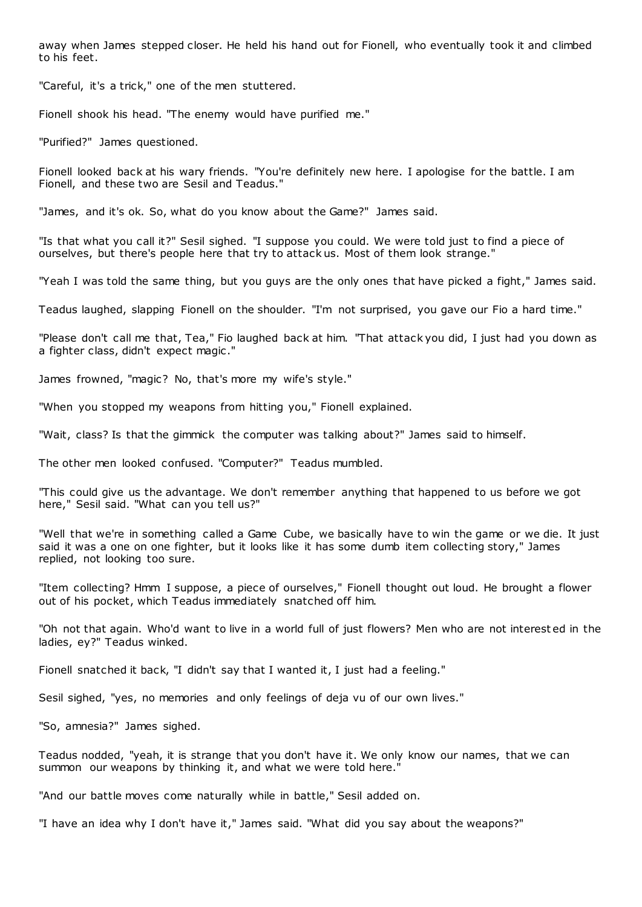away when James stepped closer. He held his hand out for Fionell, who eventually took it and climbed to his feet.

"Careful, it's a trick," one of the men stuttered.

Fionell shook his head. "The enemy would have purified me."

"Purified?" James questioned.

Fionell looked back at his wary friends. "You're definitely new here. I apologise for the battle. I am Fionell, and these two are Sesil and Teadus."

"James, and it's ok. So, what do you know about the Game?" James said.

"Is that what you call it?" Sesil sighed. "I suppose you could. We were told just to find a piece of ourselves, but there's people here that try to attack us. Most of them look strange."

"Yeah I was told the same thing, but you guys are the only ones that have picked a fight," James said.

Teadus laughed, slapping Fionell on the shoulder. "I'm not surprised, you gave our Fio a hard time."

"Please don't call me that, Tea," Fio laughed back at him. "That attack you did, I just had you down as a fighter class, didn't expect magic ."

James frowned, "magic? No, that's more my wife's style."

"When you stopped my weapons from hitting you," Fionell explained.

"Wait, class? Is that the gimmick the computer was talking about?" James said to himself.

The other men looked confused. "Computer?" Teadus mumbled.

"This could give us the advantage. We don't remember anything that happened to us before we got here," Sesil said. "What can you tell us?"

"Well that we're in something called a Game Cube, we basically have to win the game or we die. It just said it was a one on one fighter, but it looks like it has some dumb item collecting story," James replied, not looking too sure.

"Item collecting? Hmm I suppose, a piece of ourselves," Fionell thought out loud. He brought a flower out of his pocket, which Teadus immediately snatched off him.

"Oh not that again. Who'd want to live in a world full of just flowers? Men who are not interest ed in the ladies, ey?" Teadus winked.

Fionell snatched it back, "I didn't say that I wanted it, I just had a feeling."

Sesil sighed, "yes, no memories and only feelings of deja vu of our own lives."

"So, amnesia?" James sighed.

Teadus nodded, "yeah, it is strange that you don't have it. We only know our names, that we can summon our weapons by thinking it, and what we were told here.

"And our battle moves come naturally while in battle," Sesil added on.

"I have an idea why I don't have it," James said. "What did you say about the weapons?"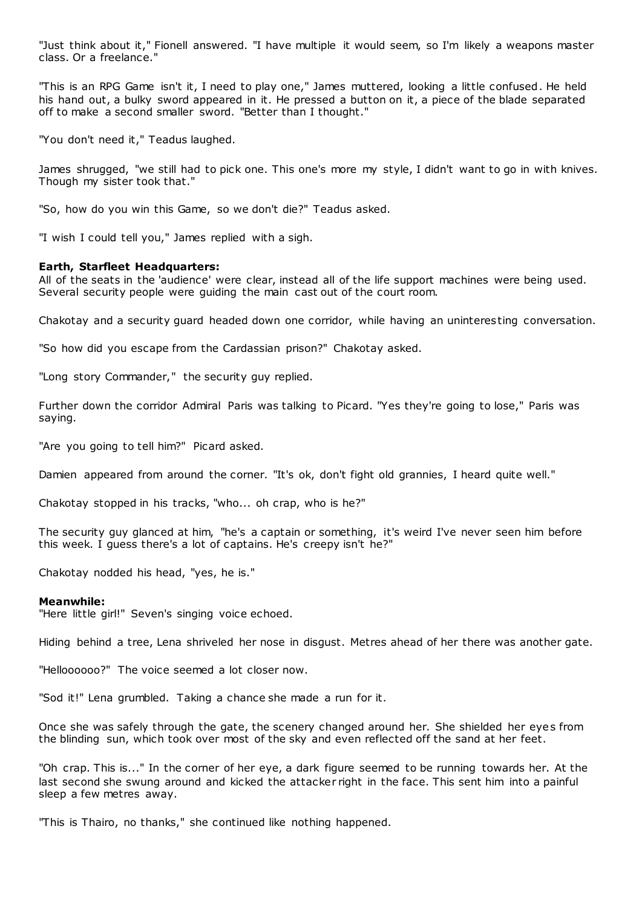"Just think about it," Fionell answered. "I have multiple it would seem, so I'm likely a weapons master class. Or a freelance."

"This is an RPG Game isn't it, I need to play one," James muttered, looking a little confused. He held his hand out, a bulky sword appeared in it. He pressed a button on it, a piece of the blade separated off to make a second smaller sword. "Better than I thought."

"You don't need it," Teadus laughed.

James shrugged, "we still had to pick one. This one's more my style, I didn't want to go in with knives. Though my sister took that."

"So, how do you win this Game, so we don't die?" Teadus asked.

"I wish I could tell you," James replied with a sigh.

## **Earth, Starfleet Headquarters:**

All of the seats in the 'audience' were clear, instead all of the life support machines were being used. Several security people were guiding the main cast out of the court room.

Chakotay and a security guard headed down one corridor, while having an uninteresting conversation.

"So how did you escape from the Cardassian prison?" Chakotay asked.

"Long story Commander," the security guy replied.

Further down the corridor Admiral Paris was talking to Picard. "Yes they're going to lose," Paris was saying.

"Are you going to tell him?" Picard asked.

Damien appeared from around the corner. "It's ok, don't fight old grannies, I heard quite well."

Chakotay stopped in his tracks, "who... oh crap, who is he?"

The security guy glanced at him, "he's a captain or something, it's weird I've never seen him before this week. I guess there's a lot of captains. He's creepy isn't he?"

Chakotay nodded his head, "yes, he is."

#### **Meanwhile:**

"Here little girl!" Seven's singing voice echoed.

Hiding behind a tree, Lena shriveled her nose in disgust. Metres ahead of her there was another gate.

"Helloooooo?" The voice seemed a lot closer now.

"Sod it!" Lena grumbled. Taking a chance she made a run for it.

Once she was safely through the gate, the scenery changed around her. She shielded her eyes from the blinding sun, which took over most of the sky and even reflected off the sand at her feet.

"Oh crap. This is..." In the corner of her eye, a dark figure seemed to be running towards her. At the last second she swung around and kicked the attacker right in the face. This sent him into a painful sleep a few metres away.

"This is Thairo, no thanks," she continued like nothing happened.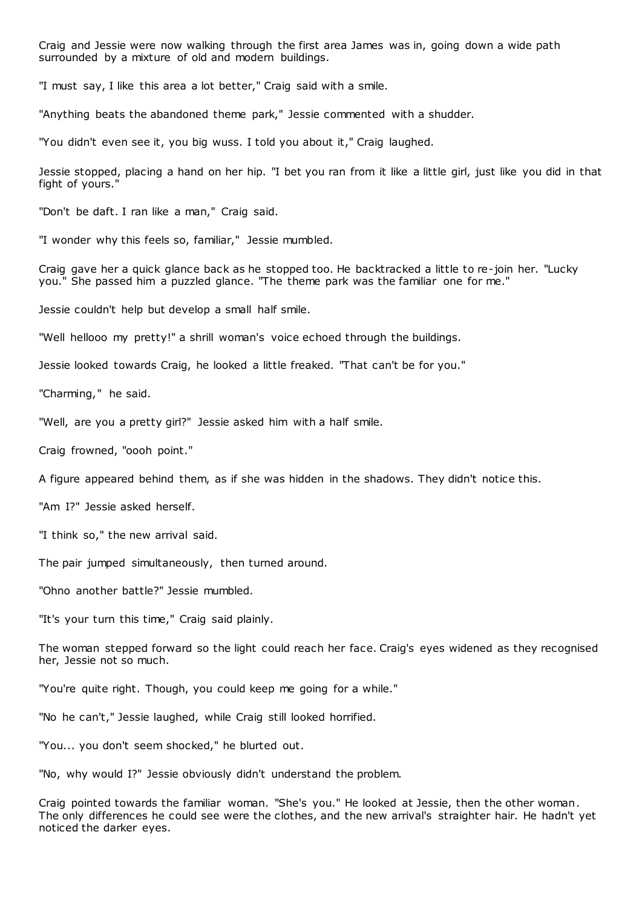Craig and Jessie were now walking through the first area James was in, going down a wide path surrounded by a mixture of old and modern buildings.

"I must say, I like this area a lot better," Craig said with a smile.

"Anything beats the abandoned theme park," Jessie commented with a shudder.

"You didn't even see it, you big wuss. I told you about it," Craig laughed.

Jessie stopped, placing a hand on her hip. "I bet you ran from it like a little girl, just like you did in that fight of yours."

"Don't be daft. I ran like a man," Craig said.

"I wonder why this feels so, familiar," Jessie mumbled.

Craig gave her a quick glance back as he stopped too. He backtracked a little to re-join her. "Lucky you." She passed him a puzzled glance. "The theme park was the familiar one for me."

Jessie couldn't help but develop a small half smile.

"Well hellooo my pretty!" a shrill woman's voice echoed through the buildings.

Jessie looked towards Craig, he looked a little freaked. "That can't be for you."

"Charming," he said.

"Well, are you a pretty girl?" Jessie asked him with a half smile.

Craig frowned, "oooh point."

A figure appeared behind them, as if she was hidden in the shadows. They didn't notice this.

"Am I?" Jessie asked herself.

"I think so," the new arrival said.

The pair jumped simultaneously, then turned around.

"Ohno another battle?" Jessie mumbled.

"It's your turn this time," Craig said plainly.

The woman stepped forward so the light could reach her face. Craig's eyes widened as they recognised her, Jessie not so much.

"You're quite right. Though, you could keep me going for a while."

"No he can't," Jessie laughed, while Craig still looked horrified.

"You... you don't seem shocked," he blurted out.

"No, why would I?" Jessie obviously didn't understand the problem.

Craig pointed towards the familiar woman. "She's you." He looked at Jessie, then the other woman. The only differences he could see were the clothes, and the new arrival's straighter hair. He hadn't yet noticed the darker eyes.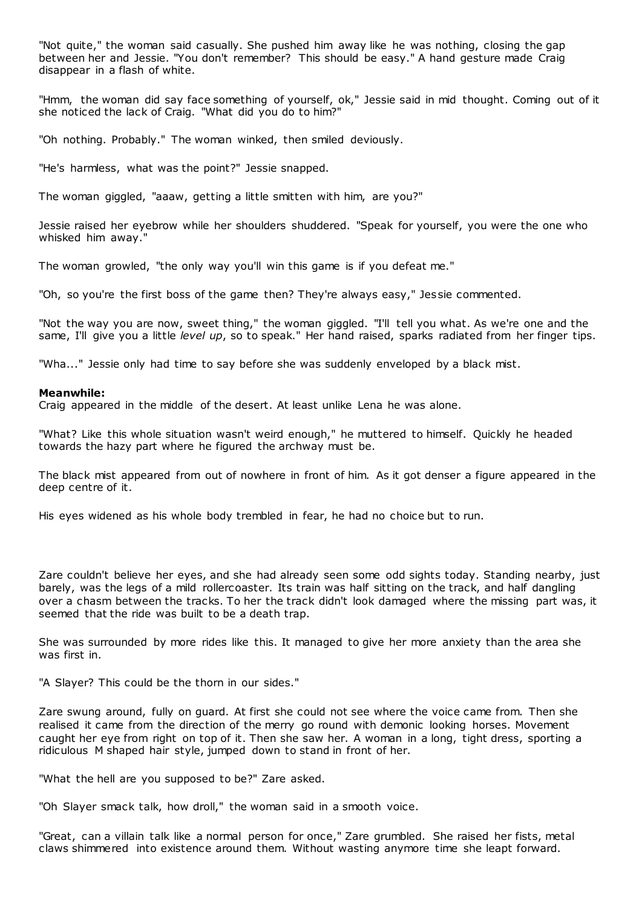"Not quite," the woman said casually. She pushed him away like he was nothing, closing the gap between her and Jessie. "You don't remember? This should be easy." A hand gesture made Craig disappear in a flash of white.

"Hmm, the woman did say face something of yourself, ok," Jessie said in mid thought. Coming out of it she noticed the lack of Craig. "What did you do to him?"

"Oh nothing. Probably." The woman winked, then smiled deviously.

"He's harmless, what was the point?" Jessie snapped.

The woman giggled, "aaaw, getting a little smitten with him, are you?"

Jessie raised her eyebrow while her shoulders shuddered. "Speak for yourself, you were the one who whisked him away."

The woman growled, "the only way you'll win this game is if you defeat me."

"Oh, so you're the first boss of the game then? They're always easy," Jessie commented.

"Not the way you are now, sweet thing," the woman giggled. "I'll tell you what. As we're one and the same, I'll give you a little *level up*, so to speak." Her hand raised, sparks radiated from her finger tips.

"Wha..." Jessie only had time to say before she was suddenly enveloped by a black mist.

#### **Meanwhile:**

Craig appeared in the middle of the desert. At least unlike Lena he was alone.

"What? Like this whole situation wasn't weird enough," he muttered to himself. Quickly he headed towards the hazy part where he figured the archway must be.

The black mist appeared from out of nowhere in front of him. As it got denser a figure appeared in the deep centre of it.

His eyes widened as his whole body trembled in fear, he had no choice but to run.

Zare couldn't believe her eyes, and she had already seen some odd sights today. Standing nearby, just barely, was the legs of a mild rollercoaster. Its train was half sitting on the track, and half dangling over a chasm between the tracks. To her the track didn't look damaged where the missing part was, it seemed that the ride was built to be a death trap.

She was surrounded by more rides like this. It managed to give her more anxiety than the area she was first in.

"A Slayer? This could be the thorn in our sides."

Zare swung around, fully on guard. At first she could not see where the voice came from. Then she realised it came from the direction of the merry go round with demonic looking horses. Movement caught her eye from right on top of it. Then she saw her. A woman in a long, tight dress, sporting a ridiculous M shaped hair style, jumped down to stand in front of her.

"What the hell are you supposed to be?" Zare asked.

"Oh Slayer smack talk, how droll," the woman said in a smooth voice.

"Great, can a villain talk like a normal person for once," Zare grumbled. She raised her fists, metal claws shimmered into existence around them. Without wasting anymore time she leapt forward.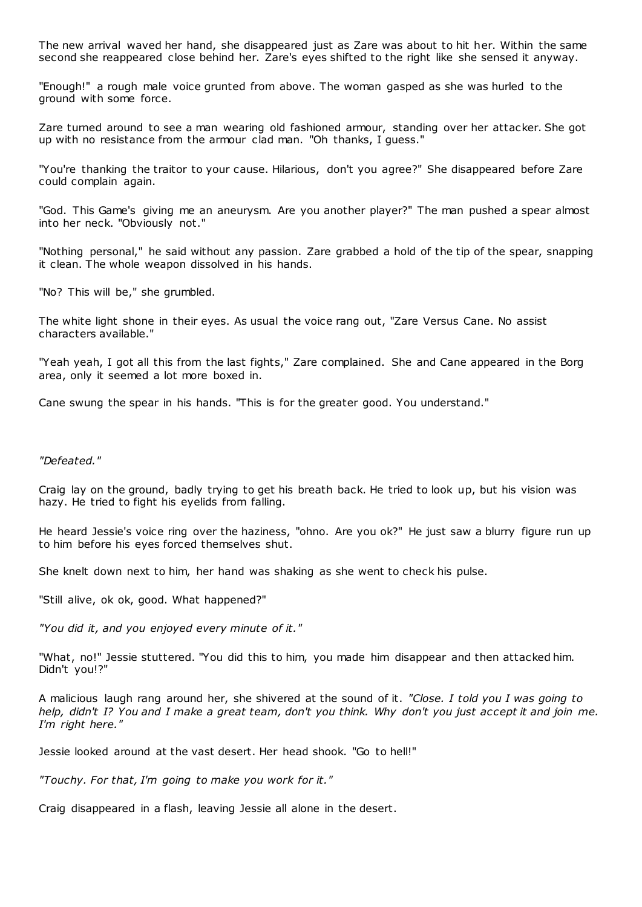The new arrival waved her hand, she disappeared just as Zare was about to hit her. Within the same second she reappeared close behind her. Zare's eyes shifted to the right like she sensed it anyway.

"Enough!" a rough male voice grunted from above. The woman gasped as she was hurled to the ground with some force.

Zare turned around to see a man wearing old fashioned armour, standing over her attacker. She got up with no resistance from the armour clad man. "Oh thanks, I guess."

"You're thanking the traitor to your cause. Hilarious, don't you agree?" She disappeared before Zare could complain again.

"God. This Game's giving me an aneurysm. Are you another player?" The man pushed a spear almost into her neck. "Obviously not."

"Nothing personal," he said without any passion. Zare grabbed a hold of the tip of the spear, snapping it clean. The whole weapon dissolved in his hands.

"No? This will be," she grumbled.

The white light shone in their eyes. As usual the voice rang out, "Zare Versus Cane. No assist characters available."

"Yeah yeah, I got all this from the last fights," Zare complained. She and Cane appeared in the Borg area, only it seemed a lot more boxed in.

Cane swung the spear in his hands. "This is for the greater good. You understand."

## *"Defeated."*

Craig lay on the ground, badly trying to get his breath back. He tried to look up, but his vision was hazy. He tried to fight his eyelids from falling.

He heard Jessie's voice ring over the haziness, "ohno. Are you ok?" He just saw a blurry figure run up to him before his eyes forced themselves shut.

She knelt down next to him, her hand was shaking as she went to check his pulse.

"Still alive, ok ok, good. What happened?"

*"You did it, and you enjoyed every minute of it."*

"What, no!" Jessie stuttered. "You did this to him, you made him disappear and then attacked him. Didn't you!?"

A malicious laugh rang around her, she shivered at the sound of it. *"Close. I told you I was going to help, didn't I? You and I make a great team, don't you think. Why don't you just accept it and join me. I'm right here."*

Jessie looked around at the vast desert. Her head shook. "Go to hell!"

*"Touchy. For that, I'm going to make you work for it."*

Craig disappeared in a flash, leaving Jessie all alone in the desert.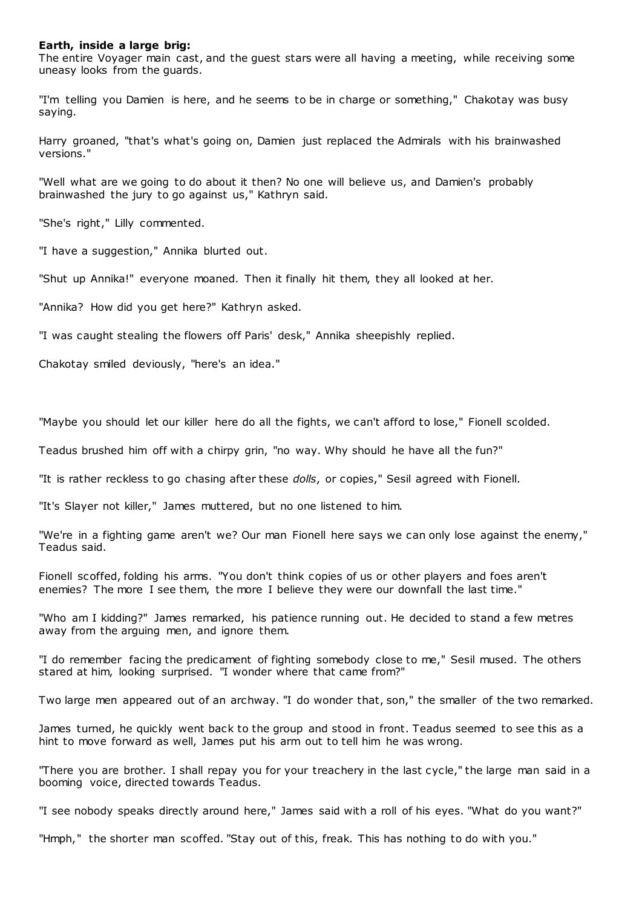### **Earth, inside a large brig:**

The entire Voyager main cast, and the guest stars were all having a meeting, while receiving some uneasy looks from the guards.

"I'm telling you Damien is here, and he seems to be in charge or something," Chakotay was busy saying.

Harry groaned, "that's what's going on, Damien just replaced the Admirals with his brainwashed versions."

"Well what are we going to do about it then? No one will believe us, and Damien's probably brainwashed the jury to go against us," Kathryn said.

"She's right," Lilly commented.

"I have a suggestion," Annika blurted out.

"Shut up Annika!" everyone moaned. Then it finally hit them, they all looked at her.

"Annika? How did you get here?" Kathryn asked.

"I was caught stealing the flowers off Paris' desk," Annika sheepishly replied.

Chakotay smiled deviously, "here's an idea."

"Maybe you should let our killer here do all the fights, we can't afford to lose," Fionell scolded.

Teadus brushed him off with a chirpy grin, "no way. Why should he have all the fun?"

"It is rather reckless to go chasing after these *dolls*, or copies," Sesil agreed with Fionell.

"It's Slayer not killer," James muttered, but no one listened to him.

"We're in a fighting game aren't we? Our man Fionell here says we can only lose against the enemy," Teadus said.

Fionell scoffed, folding his arms. "You don't think copies of us or other players and foes aren't enemies? The more I see them, the more I believe they were our downfall the last time."

"Who am I kidding?" James remarked, his patience running out. He decided to stand a few metres away from the arguing men, and ignore them.

"I do remember facing the predicament of fighting somebody close to me," Sesil mused. The others stared at him, looking surprised. "I wonder where that came from?"

Two large men appeared out of an archway. "I do wonder that, son," the smaller of the two remarked.

James turned, he quickly went back to the group and stood in front. Teadus seemed to see this as a hint to move forward as well, James put his arm out to tell him he was wrong.

"There you are brother. I shall repay you for your treachery in the last cycle," the large man said in a booming voice, directed towards Teadus.

"I see nobody speaks directly around here," James said with a roll of his eyes. "What do you want?"

"Hmph," the shorter man scoffed. "Stay out of this, freak. This has nothing to do with you."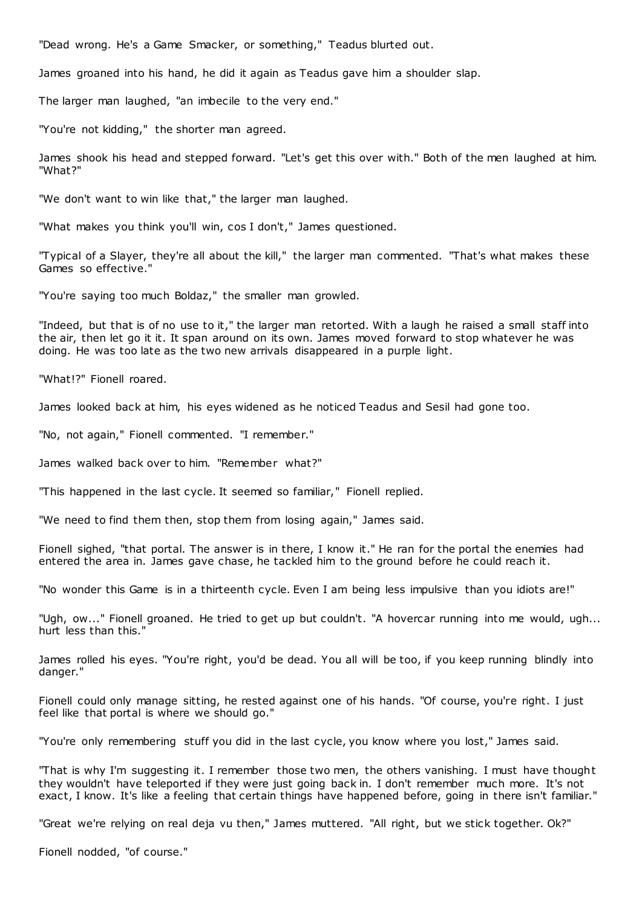"Dead wrong. He's a Game Smacker, or something," Teadus blurted out.

James groaned into his hand, he did it again as Teadus gave him a shoulder slap.

The larger man laughed, "an imbecile to the very end."

"You're not kidding," the shorter man agreed.

James shook his head and stepped forward. "Let's get this over with." Both of the men laughed at him. "What?"

"We don't want to win like that," the larger man laughed.

"What makes you think you'll win, cos I don't," James questioned.

"Typical of a Slayer, they're all about the kill," the larger man commented. "That's what makes these Games so effective."

"You're saying too much Boldaz," the smaller man growled.

"Indeed, but that is of no use to it," the larger man retorted. With a laugh he raised a small staff into the air, then let go it it. It span around on its own. James moved forward to stop whatever he was doing. He was too late as the two new arrivals disappeared in a purple light.

"What!?" Fionell roared.

James looked back at him, his eyes widened as he noticed Teadus and Sesil had gone too.

"No, not again," Fionell commented. "I remember."

James walked back over to him. "Remember what?"

"This happened in the last cycle. It seemed so familiar," Fionell replied.

"We need to find them then, stop them from losing again," James said.

Fionell sighed, "that portal. The answer is in there, I know it." He ran for the portal the enemies had entered the area in. James gave chase, he tackled him to the ground before he could reach it.

"No wonder this Game is in a thirteenth cycle. Even I am being less impulsive than you idiots are!"

"Ugh, ow..." Fionell groaned. He tried to get up but couldn't. "A hovercar running into me would, ugh... hurt less than this."

James rolled his eyes. "You're right, you'd be dead. You all will be too, if you keep running blindly into danger."

Fionell could only manage sitting, he rested against one of his hands. "Of course, you're right. I just feel like that portal is where we should go."

"You're only remembering stuff you did in the last cycle, you know where you lost," James said.

"That is why I'm suggesting it. I remember those two men, the others vanishing. I must have thought they wouldn't have teleported if they were just going back in. I don't remember much more. It's not exact, I know. It's like a feeling that certain things have happened before, going in there isn't familiar."

"Great we're relying on real deja vu then," James muttered. "All right, but we stick together. Ok?"

Fionell nodded, "of course."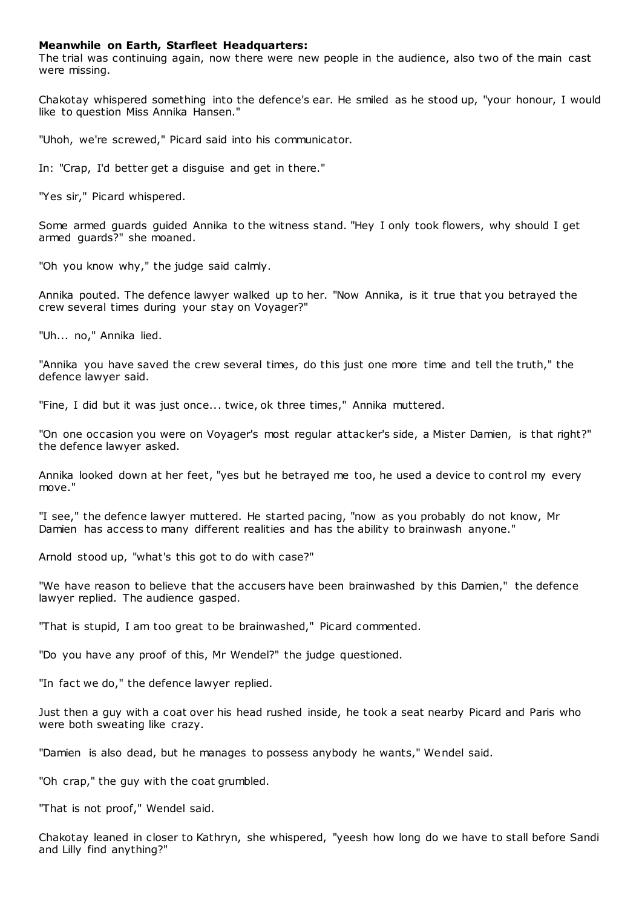## **Meanwhile on Earth, Starfleet Headquarters:**

The trial was continuing again, now there were new people in the audience, also two of the main cast were missing.

Chakotay whispered something into the defence's ear. He smiled as he stood up, "your honour, I would like to question Miss Annika Hansen."

"Uhoh, we're screwed," Picard said into his communicator.

In: "Crap, I'd better get a disguise and get in there."

"Yes sir," Picard whispered.

Some armed guards guided Annika to the witness stand. "Hey I only took flowers, why should I get armed guards?" she moaned.

"Oh you know why," the judge said calmly.

Annika pouted. The defence lawyer walked up to her. "Now Annika, is it true that you betrayed the crew several times during your stay on Voyager?"

"Uh... no," Annika lied.

"Annika you have saved the crew several times, do this just one more time and tell the truth," the defence lawyer said.

"Fine, I did but it was just once... twice, ok three times," Annika muttered.

"On one occasion you were on Voyager's most regular attacker's side, a Mister Damien, is that right?" the defence lawyer asked.

Annika looked down at her feet, "yes but he betrayed me too, he used a device to cont rol my every move."

"I see," the defence lawyer muttered. He started pacing, "now as you probably do not know, Mr Damien has access to many different realities and has the ability to brainwash anyone."

Arnold stood up, "what's this got to do with case?"

"We have reason to believe that the accusers have been brainwashed by this Damien," the defence lawyer replied. The audience gasped.

"That is stupid, I am too great to be brainwashed," Picard commented.

"Do you have any proof of this, Mr Wendel?" the judge questioned.

"In fact we do," the defence lawyer replied.

Just then a guy with a coat over his head rushed inside, he took a seat nearby Picard and Paris who were both sweating like crazy.

"Damien is also dead, but he manages to possess anybody he wants," Wendel said.

"Oh crap," the guy with the coat grumbled.

"That is not proof," Wendel said.

Chakotay leaned in closer to Kathryn, she whispered, "yeesh how long do we have to stall before Sandi and Lilly find anything?"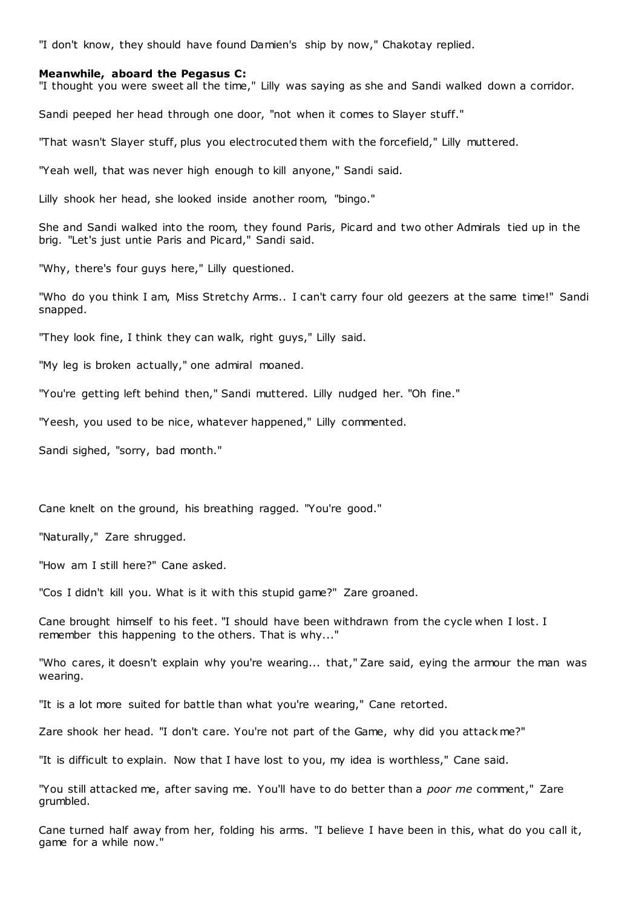"I don't know, they should have found Damien's ship by now," Chakotay replied.

# **Meanwhile, aboard the Pegasus C:**

"I thought you were sweet all the time," Lilly was saying as she and Sandi walked down a corridor.

Sandi peeped her head through one door, "not when it comes to Slayer stuff."

"That wasn't Slayer stuff, plus you electrocuted them with the forcefield," Lilly muttered.

"Yeah well, that was never high enough to kill anyone," Sandi said.

Lilly shook her head, she looked inside another room, "bingo."

She and Sandi walked into the room, they found Paris, Picard and two other Admirals tied up in the brig. "Let's just untie Paris and Picard," Sandi said.

"Why, there's four guys here," Lilly questioned.

"Who do you think I am, Miss Stretchy Arms.. I can't carry four old geezers at the same time!" Sandi snapped.

"They look fine, I think they can walk, right guys," Lilly said.

"My leg is broken actually," one admiral moaned.

"You're getting left behind then," Sandi muttered. Lilly nudged her. "Oh fine."

"Yeesh, you used to be nice, whatever happened," Lilly commented.

Sandi sighed, "sorry, bad month."

Cane knelt on the ground, his breathing ragged. "You're good."

"Naturally," Zare shrugged.

"How am I still here?" Cane asked.

"Cos I didn't kill you. What is it with this stupid game?" Zare groaned.

Cane brought himself to his feet. "I should have been withdrawn from the cycle when I lost. I remember this happening to the others. That is why..."

"Who cares, it doesn't explain why you're wearing... that," Zare said, eying the armour the man was wearing.

"It is a lot more suited for battle than what you're wearing," Cane retorted.

Zare shook her head. "I don't care. You're not part of the Game, why did you attack me?"

"It is difficult to explain. Now that I have lost to you, my idea is worthless," Cane said.

"You still attacked me, after saving me. You'll have to do better than a *poor me* comment," Zare grumbled.

Cane turned half away from her, folding his arms. "I believe I have been in this, what do you call it, game for a while now."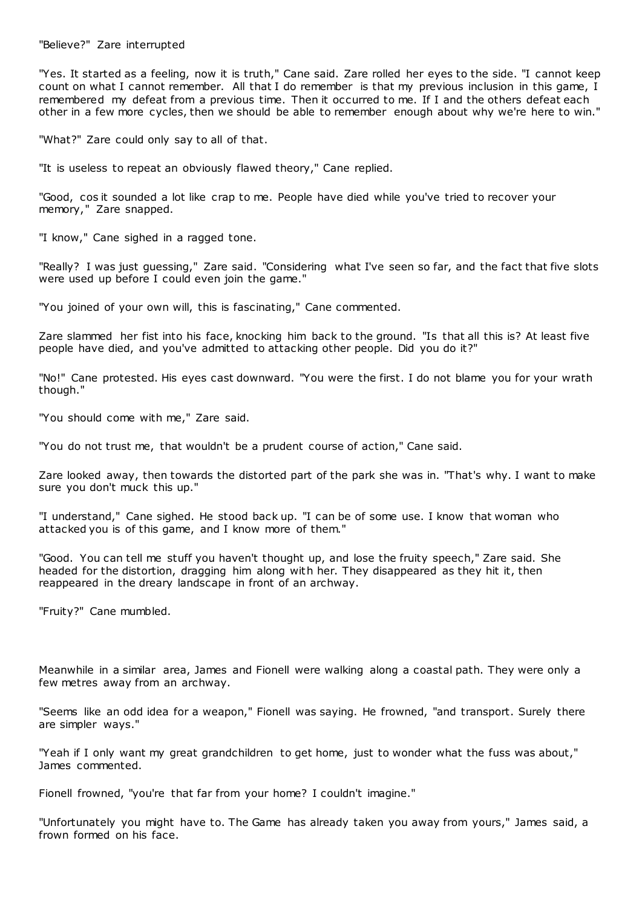"Believe?" Zare interrupted

"Yes. It started as a feeling, now it is truth," Cane said. Zare rolled her eyes to the side. "I cannot keep count on what I cannot remember. All that I do remember is that my previous inclusion in this game, I remembered my defeat from a previous time. Then it occurred to me. If I and the others defeat each other in a few more cycles, then we should be able to remember enough about why we're here to win."

"What?" Zare could only say to all of that.

"It is useless to repeat an obviously flawed theory," Cane replied.

"Good, cos it sounded a lot like crap to me. People have died while you've tried to recover your memory," Zare snapped.

"I know," Cane sighed in a ragged tone.

"Really? I was just guessing," Zare said. "Considering what I've seen so far, and the fact that five slots were used up before I could even join the game."

"You joined of your own will, this is fascinating," Cane commented.

Zare slammed her fist into his face, knocking him back to the ground. "Is that all this is? At least five people have died, and you've admitted to attacking other people. Did you do it?"

"No!" Cane protested. His eyes cast downward. "You were the first. I do not blame you for your wrath though."

"You should come with me," Zare said.

"You do not trust me, that wouldn't be a prudent course of action," Cane said.

Zare looked away, then towards the distorted part of the park she was in. "That's why. I want to make sure you don't muck this up."

"I understand," Cane sighed. He stood back up. "I can be of some use. I know that woman who attacked you is of this game, and I know more of them."

"Good. You can tell me stuff you haven't thought up, and lose the fruity speech," Zare said. She headed for the distortion, dragging him along with her. They disappeared as they hit it, then reappeared in the dreary landscape in front of an archway.

"Fruity?" Cane mumbled.

Meanwhile in a similar area, James and Fionell were walking along a coastal path. They were only a few metres away from an archway.

"Seems like an odd idea for a weapon," Fionell was saying. He frowned, "and transport. Surely there are simpler ways."

"Yeah if I only want my great grandchildren to get home, just to wonder what the fuss was about," James commented.

Fionell frowned, "you're that far from your home? I couldn't imagine."

"Unfortunately you might have to. The Game has already taken you away from yours," James said, a frown formed on his face.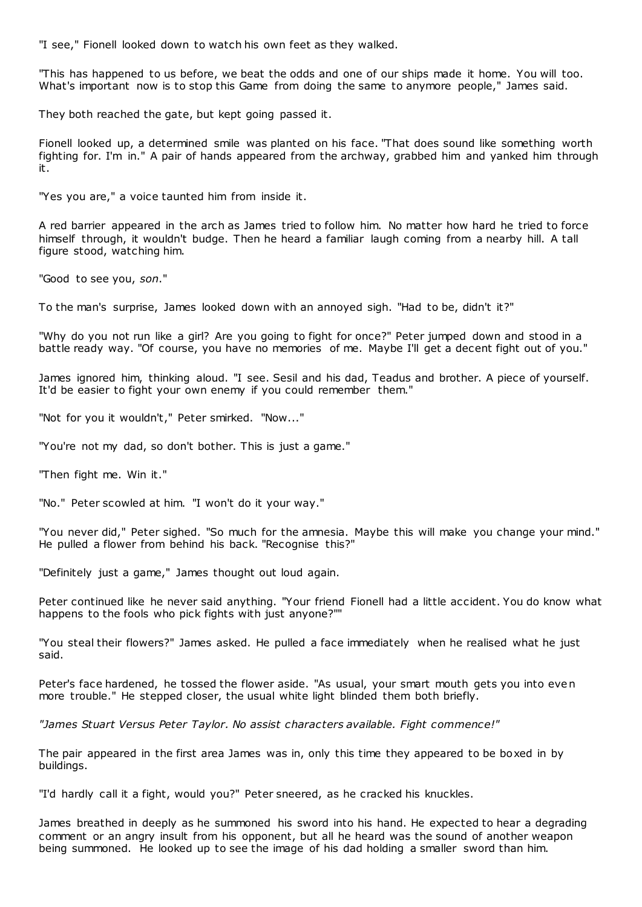"I see," Fionell looked down to watch his own feet as they walked.

"This has happened to us before, we beat the odds and one of our ships made it home. You will too. What's important now is to stop this Game from doing the same to anymore people," James said.

They both reached the gate, but kept going passed it.

Fionell looked up, a determined smile was planted on his face. "That does sound like something worth fighting for. I'm in." A pair of hands appeared from the archway, grabbed him and yanked him through it.

"Yes you are," a voice taunted him from inside it.

A red barrier appeared in the arch as James tried to follow him. No matter how hard he tried to force himself through, it wouldn't budge. Then he heard a familiar laugh coming from a nearby hill. A tall figure stood, watching him.

"Good to see you, *son*."

To the man's surprise, James looked down with an annoyed sigh. "Had to be, didn't it?"

"Why do you not run like a girl? Are you going to fight for once?" Peter jumped down and stood in a battle ready way. "Of course, you have no memories of me. Maybe I'll get a decent fight out of you."

James ignored him, thinking aloud. "I see. Sesil and his dad, Teadus and brother. A piece of yourself. It'd be easier to fight your own enemy if you could remember them."

"Not for you it wouldn't," Peter smirked. "Now..."

"You're not my dad, so don't bother. This is just a game."

"Then fight me. Win it."

"No." Peter scowled at him. "I won't do it your way."

"You never did," Peter sighed. "So much for the amnesia. Maybe this will make you change your mind." He pulled a flower from behind his back. "Recognise this?"

"Definitely just a game," James thought out loud again.

Peter continued like he never said anything. "Your friend Fionell had a little accident. You do know what happens to the fools who pick fights with just anyone?""

"You steal their flowers?" James asked. He pulled a face immediately when he realised what he just said.

Peter's face hardened, he tossed the flower aside. "As usual, your smart mouth gets you into even more trouble." He stepped closer, the usual white light blinded them both briefly.

*"James Stuart Versus Peter Taylor. No assist characters available. Fight commence!"*

The pair appeared in the first area James was in, only this time they appeared to be boxed in by buildings.

"I'd hardly call it a fight, would you?" Peter sneered, as he cracked his knuckles.

James breathed in deeply as he summoned his sword into his hand. He expected to hear a degrading comment or an angry insult from his opponent, but all he heard was the sound of another weapon being summoned. He looked up to see the image of his dad holding a smaller sword than him.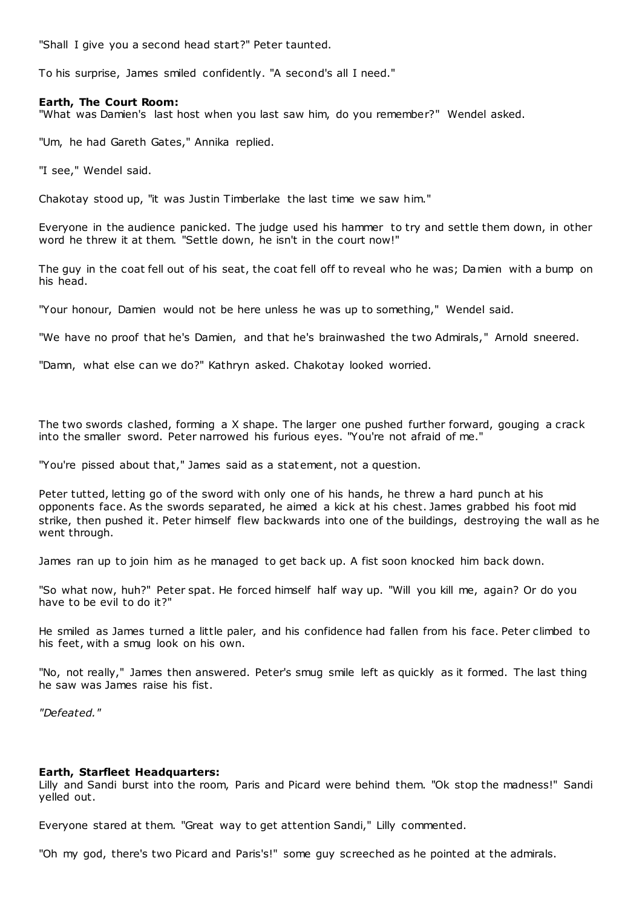"Shall I give you a second head start?" Peter taunted.

To his surprise, James smiled confidently. "A second's all I need."

#### **Earth, The Court Room:**

"What was Damien's last host when you last saw him, do you remember?" Wendel asked.

"Um, he had Gareth Gates," Annika replied.

"I see," Wendel said.

Chakotay stood up, "it was Justin Timberlake the last time we saw him."

Everyone in the audience panicked. The judge used his hammer to try and settle them down, in other word he threw it at them. "Settle down, he isn't in the court now!"

The guy in the coat fell out of his seat, the coat fell off to reveal who he was; Damien with a bump on his head.

"Your honour, Damien would not be here unless he was up to something," Wendel said.

"We have no proof that he's Damien, and that he's brainwashed the two Admirals," Arnold sneered.

"Damn, what else can we do?" Kathryn asked. Chakotay looked worried.

The two swords clashed, forming a X shape. The larger one pushed further forward, gouging a crack into the smaller sword. Peter narrowed his furious eyes. "You're not afraid of me."

"You're pissed about that," James said as a statement, not a question.

Peter tutted, letting go of the sword with only one of his hands, he threw a hard punch at his opponents face. As the swords separated, he aimed a kick at his chest. James grabbed his foot mid strike, then pushed it. Peter himself flew backwards into one of the buildings, destroying the wall as he went through.

James ran up to join him as he managed to get back up. A fist soon knocked him back down.

"So what now, huh?" Peter spat. He forced himself half way up. "Will you kill me, again? Or do you have to be evil to do it?"

He smiled as James turned a little paler, and his confidence had fallen from his face. Peter climbed to his feet, with a smug look on his own.

"No, not really," James then answered. Peter's smug smile left as quickly as it formed. The last thing he saw was James raise his fist.

*"Defeated."*

#### **Earth, Starfleet Headquarters:**

Lilly and Sandi burst into the room, Paris and Picard were behind them. "Ok stop the madness!" Sandi yelled out.

Everyone stared at them. "Great way to get attention Sandi," Lilly commented.

"Oh my god, there's two Picard and Paris's!" some guy screeched as he pointed at the admirals.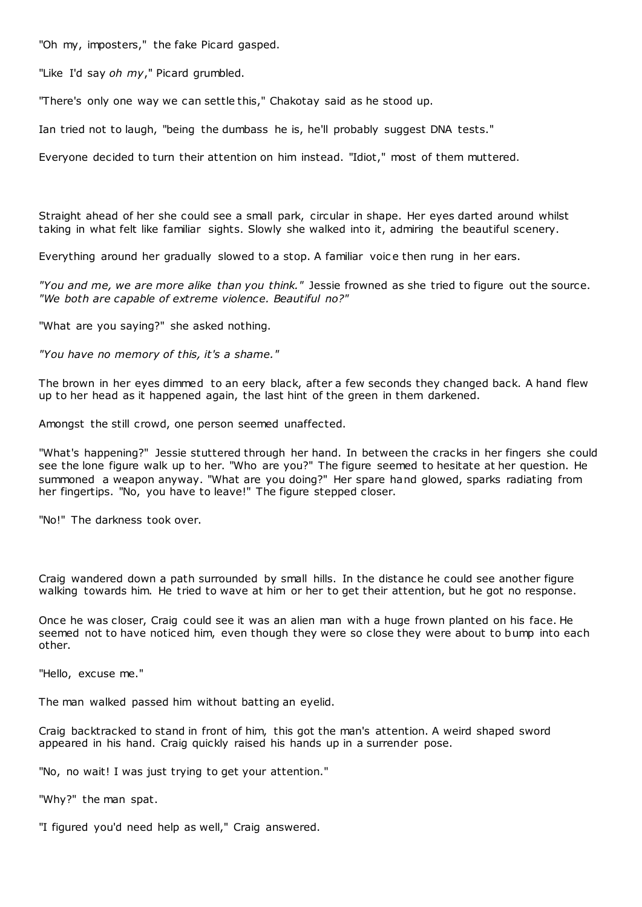"Oh my, imposters," the fake Picard gasped.

"Like I'd say *oh my*," Picard grumbled.

"There's only one way we can settle this," Chakotay said as he stood up.

Ian tried not to laugh, "being the dumbass he is, he'll probably suggest DNA tests."

Everyone decided to turn their attention on him instead. "Idiot," most of them muttered.

Straight ahead of her she could see a small park, circular in shape. Her eyes darted around whilst taking in what felt like familiar sights. Slowly she walked into it, admiring the beautiful scenery.

Everything around her gradually slowed to a stop. A familiar voic e then rung in her ears.

*"You and me, we are more alike than you think."* Jessie frowned as she tried to figure out the source. *"We both are capable of extreme violence. Beautiful no?"*

"What are you saying?" she asked nothing.

*"You have no memory of this, it's a shame."*

The brown in her eyes dimmed to an eery black, after a few seconds they changed back. A hand flew up to her head as it happened again, the last hint of the green in them darkened.

Amongst the still crowd, one person seemed unaffected.

"What's happening?" Jessie stuttered through her hand. In between the cracks in her fingers she could see the lone figure walk up to her. "Who are you?" The figure seemed to hesitate at her question. He summoned a weapon anyway. "What are you doing?" Her spare hand glowed, sparks radiating from her fingertips. "No, you have to leave!" The figure stepped closer.

"No!" The darkness took over.

Craig wandered down a path surrounded by small hills. In the distance he could see another figure walking towards him. He tried to wave at him or her to get their attention, but he got no response.

Once he was closer, Craig could see it was an alien man with a huge frown planted on his face. He seemed not to have noticed him, even though they were so close they were about to bump into each other.

"Hello, excuse me."

The man walked passed him without batting an eyelid.

Craig backtracked to stand in front of him, this got the man's attention. A weird shaped sword appeared in his hand. Craig quickly raised his hands up in a surrender pose.

"No, no wait! I was just trying to get your attention."

"Why?" the man spat.

"I figured you'd need help as well," Craig answered.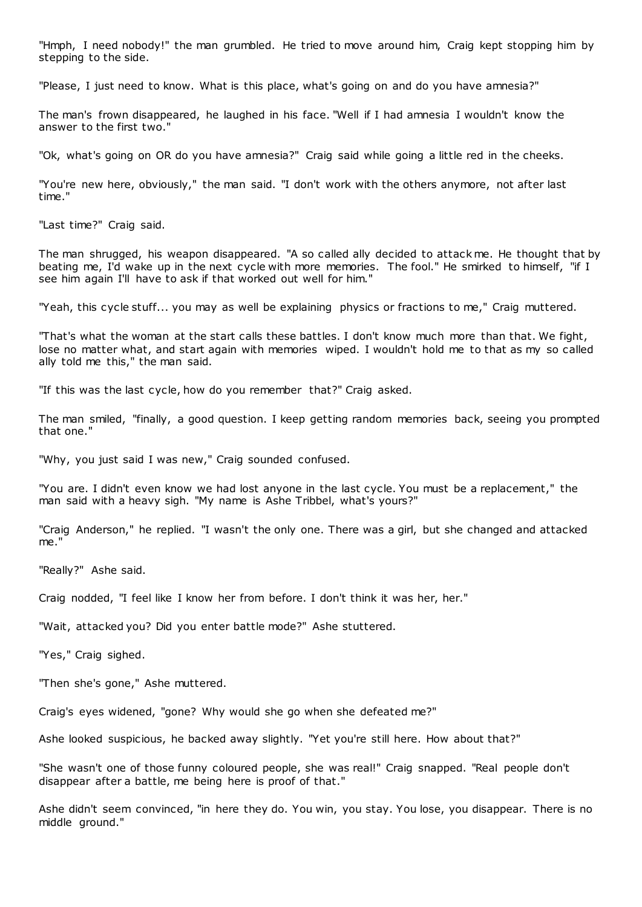"Hmph, I need nobody!" the man grumbled. He tried to move around him, Craig kept stopping him by stepping to the side.

"Please, I just need to know. What is this place, what's going on and do you have amnesia?"

The man's frown disappeared, he laughed in his face. "Well if I had amnesia I wouldn't know the answer to the first two."

"Ok, what's going on OR do you have amnesia?" Craig said while going a little red in the cheeks.

"You're new here, obviously," the man said. "I don't work with the others anymore, not after last time."

"Last time?" Craig said.

The man shrugged, his weapon disappeared. "A so called ally decided to attack me. He thought that by beating me, I'd wake up in the next cycle with more memories. The fool." He smirked to himself, "if I see him again I'll have to ask if that worked out well for him."

"Yeah, this cycle stuff... you may as well be explaining physics or fractions to me," Craig muttered.

"That's what the woman at the start calls these battles. I don't know much more than that. We fight, lose no matter what, and start again with memories wiped. I wouldn't hold me to that as my so called ally told me this," the man said.

"If this was the last cycle, how do you remember that?" Craig asked.

The man smiled, "finally, a good question. I keep getting random memories back, seeing you prompted that one."

"Why, you just said I was new," Craig sounded confused.

"You are. I didn't even know we had lost anyone in the last cycle. You must be a replacement," the man said with a heavy sigh. "My name is Ashe Tribbel, what's yours?"

"Craig Anderson," he replied. "I wasn't the only one. There was a girl, but she changed and attacked me."

"Really?" Ashe said.

Craig nodded, "I feel like I know her from before. I don't think it was her, her."

"Wait, attacked you? Did you enter battle mode?" Ashe stuttered.

"Yes," Craig sighed.

"Then she's gone," Ashe muttered.

Craig's eyes widened, "gone? Why would she go when she defeated me?"

Ashe looked suspicious, he backed away slightly. "Yet you're still here. How about that?"

"She wasn't one of those funny coloured people, she was real!" Craig snapped. "Real people don't disappear after a battle, me being here is proof of that."

Ashe didn't seem convinced, "in here they do. You win, you stay. You lose, you disappear. There is no middle ground."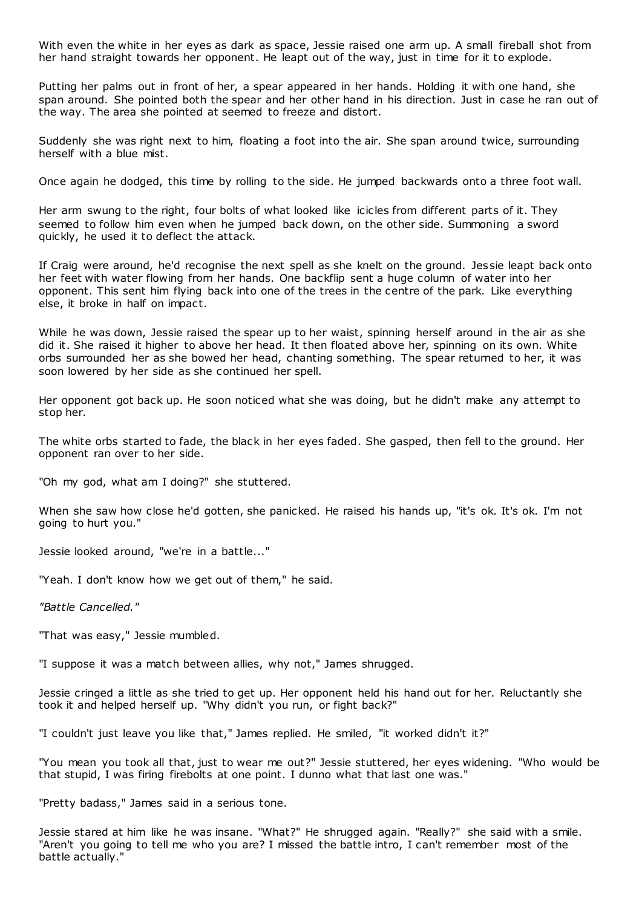With even the white in her eyes as dark as space, Jessie raised one arm up. A small fireball shot from her hand straight towards her opponent. He leapt out of the way, just in time for it to explode.

Putting her palms out in front of her, a spear appeared in her hands. Holding it with one hand, she span around. She pointed both the spear and her other hand in his direction. Just in case he ran out of the way. The area she pointed at seemed to freeze and distort.

Suddenly she was right next to him, floating a foot into the air. She span around twice, surrounding herself with a blue mist.

Once again he dodged, this time by rolling to the side. He jumped backwards onto a three foot wall.

Her arm swung to the right, four bolts of what looked like icicles from different parts of it. They seemed to follow him even when he jumped back down, on the other side. Summoning a sword quickly, he used it to deflect the attack.

If Craig were around, he'd recognise the next spell as she knelt on the ground. Jessie leapt back onto her feet with water flowing from her hands. One backflip sent a huge column of water into her opponent. This sent him flying back into one of the trees in the centre of the park. Like everything else, it broke in half on impact.

While he was down, Jessie raised the spear up to her waist, spinning herself around in the air as she did it. She raised it higher to above her head. It then floated above her, spinning on its own. White orbs surrounded her as she bowed her head, chanting something. The spear returned to her, it was soon lowered by her side as she continued her spell.

Her opponent got back up. He soon noticed what she was doing, but he didn't make any attempt to stop her.

The white orbs started to fade, the black in her eyes faded. She gasped, then fell to the ground. Her opponent ran over to her side.

"Oh my god, what am I doing?" she stuttered.

When she saw how close he'd gotten, she panicked. He raised his hands up, "it's ok. It's ok. I'm not going to hurt you."

Jessie looked around, "we're in a battle..."

"Yeah. I don't know how we get out of them," he said.

*"Battle Cancelled."*

"That was easy," Jessie mumbled.

"I suppose it was a match between allies, why not," James shrugged.

Jessie cringed a little as she tried to get up. Her opponent held his hand out for her. Reluctantly she took it and helped herself up. "Why didn't you run, or fight back?"

"I couldn't just leave you like that," James replied. He smiled, "it worked didn't it?"

"You mean you took all that, just to wear me out?" Jessie stuttered, her eyes widening. "Who would be that stupid, I was firing firebolts at one point. I dunno what that last one was."

"Pretty badass," James said in a serious tone.

Jessie stared at him like he was insane. "What?" He shrugged again. "Really?" she said with a smile. "Aren't you going to tell me who you are? I missed the battle intro, I can't remember most of the battle actually."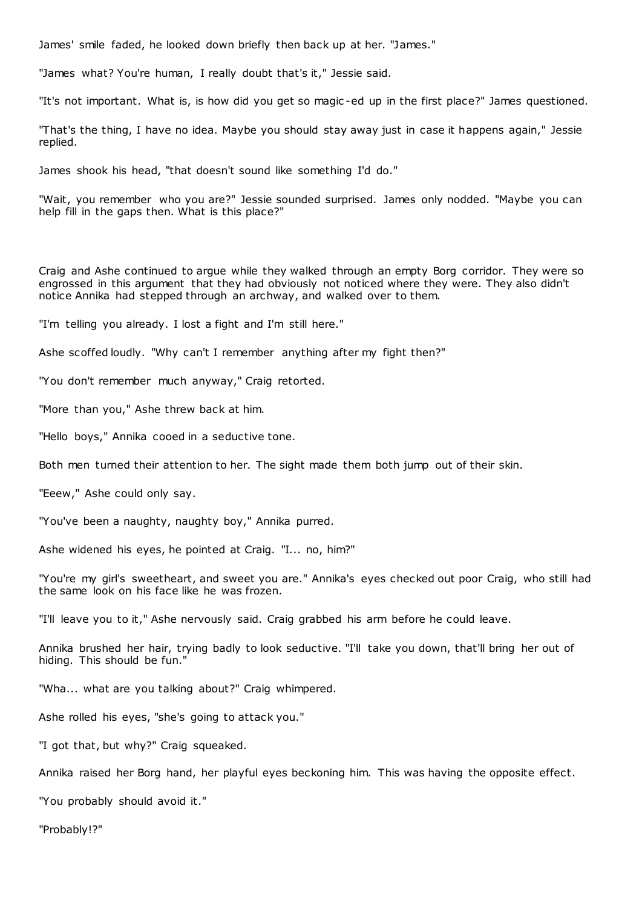James' smile faded, he looked down briefly then back up at her. "James."

"James what? You're human, I really doubt that's it," Jessie said.

"It's not important. What is, is how did you get so magic -ed up in the first place?" James questioned.

"That's the thing, I have no idea. Maybe you should stay away just in case it happens again," Jessie replied.

James shook his head, "that doesn't sound like something I'd do."

"Wait, you remember who you are?" Jessie sounded surprised. James only nodded. "Maybe you can help fill in the gaps then. What is this place?"

Craig and Ashe continued to argue while they walked through an empty Borg corridor. They were so engrossed in this argument that they had obviously not noticed where they were. They also didn't notice Annika had stepped through an archway, and walked over to them.

"I'm telling you already. I lost a fight and I'm still here."

Ashe scoffed loudly. "Why can't I remember anything after my fight then?"

"You don't remember much anyway," Craig retorted.

"More than you," Ashe threw back at him.

"Hello boys," Annika cooed in a seductive tone.

Both men turned their attention to her. The sight made them both jump out of their skin.

"Eeew," Ashe could only say.

"You've been a naughty, naughty boy," Annika purred.

Ashe widened his eyes, he pointed at Craig. "I... no, him?"

"You're my girl's sweetheart, and sweet you are." Annika's eyes checked out poor Craig, who still had the same look on his face like he was frozen.

"I'll leave you to it," Ashe nervously said. Craig grabbed his arm before he could leave.

Annika brushed her hair, trying badly to look seductive. "I'll take you down, that'll bring her out of hiding. This should be fun."

"Wha... what are you talking about?" Craig whimpered.

Ashe rolled his eyes, "she's going to attack you."

"I got that, but why?" Craig squeaked.

Annika raised her Borg hand, her playful eyes beckoning him. This was having the opposite effect.

"You probably should avoid it."

"Probably!?"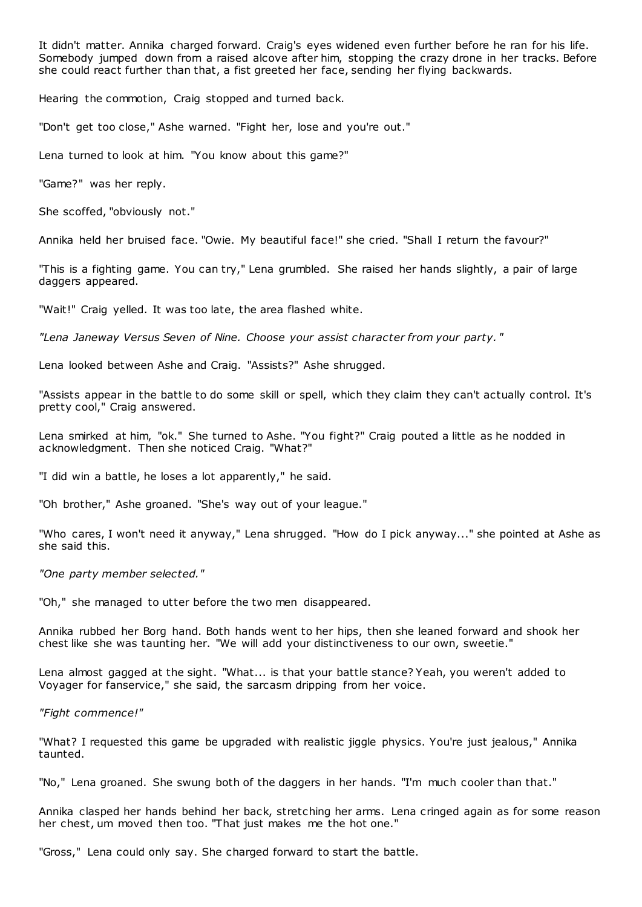It didn't matter. Annika charged forward. Craig's eyes widened even further before he ran for his life. Somebody jumped down from a raised alcove after him, stopping the crazy drone in her tracks. Before she could react further than that, a fist greeted her face, sending her flying backwards.

Hearing the commotion, Craig stopped and turned back.

"Don't get too close," Ashe warned. "Fight her, lose and you're out."

Lena turned to look at him. "You know about this game?"

"Game?" was her reply.

She scoffed, "obviously not."

Annika held her bruised face. "Owie. My beautiful face!" she cried. "Shall I return the favour?"

"This is a fighting game. You can try," Lena grumbled. She raised her hands slightly, a pair of large daggers appeared.

"Wait!" Craig yelled. It was too late, the area flashed white.

*"Lena Janeway Versus Seven of Nine. Choose your assist character from your party. "*

Lena looked between Ashe and Craig. "Assists?" Ashe shrugged.

"Assists appear in the battle to do some skill or spell, which they claim they can't actually control. It's pretty cool," Craig answered.

Lena smirked at him, "ok." She turned to Ashe. "You fight?" Craig pouted a little as he nodded in acknowledgment. Then she noticed Craig. "What?"

"I did win a battle, he loses a lot apparently," he said.

"Oh brother," Ashe groaned. "She's way out of your league."

"Who cares, I won't need it anyway," Lena shrugged. "How do I pick anyway..." she pointed at Ashe as she said this.

*"One party member selected."*

"Oh," she managed to utter before the two men disappeared.

Annika rubbed her Borg hand. Both hands went to her hips, then she leaned forward and shook her chest like she was taunting her. "We will add your distinctiveness to our own, sweetie."

Lena almost gagged at the sight. "What... is that your battle stance? Yeah, you weren't added to Voyager for fanservice," she said, the sarcasm dripping from her voice.

*"Fight commence!"*

"What? I requested this game be upgraded with realistic jiggle physics. You're just jealous," Annika taunted.

"No," Lena groaned. She swung both of the daggers in her hands. "I'm much cooler than that."

Annika clasped her hands behind her back, stretching her arms. Lena cringed again as for some reason her chest, um moved then too. "That just makes me the hot one."

"Gross," Lena could only say. She charged forward to start the battle.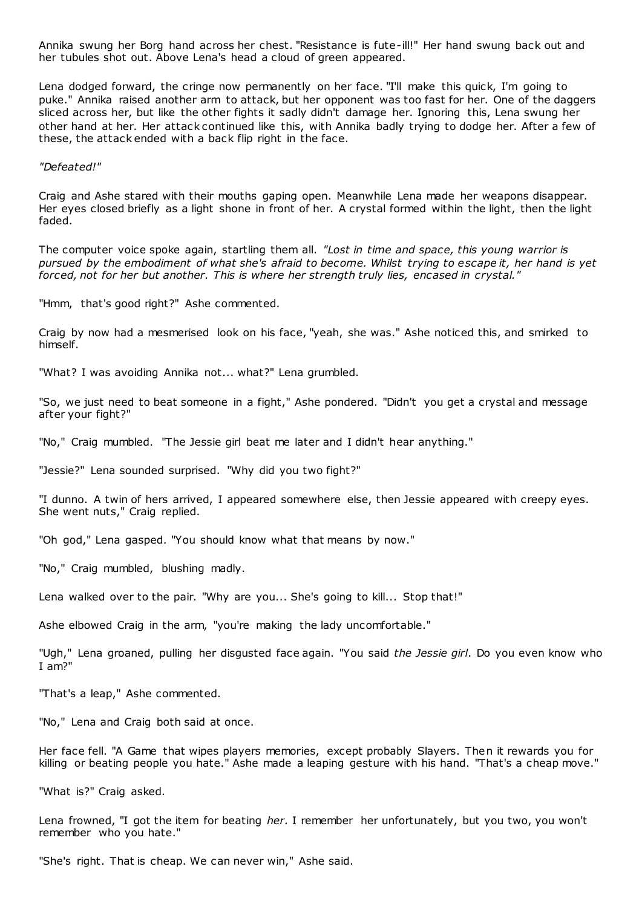Annika swung her Borg hand across her chest. "Resistance is fute-ill!" Her hand swung back out and her tubules shot out. Above Lena's head a cloud of green appeared.

Lena dodged forward, the cringe now permanently on her face. "I'll make this quick, I'm going to puke." Annika raised another arm to attack, but her opponent was too fast for her. One of the daggers sliced across her, but like the other fights it sadly didn't damage her. Ignoring this, Lena swung her other hand at her. Her attack continued like this, with Annika badly trying to dodge her. After a few of these, the attack ended with a back flip right in the face.

*"Defeated!"*

Craig and Ashe stared with their mouths gaping open. Meanwhile Lena made her weapons disappear. Her eyes closed briefly as a light shone in front of her. A crystal formed within the light, then the light faded.

The computer voice spoke again, startling them all. *"Lost in time and space, this young warrior is pursued by the embodiment of what she's afraid to become. Whilst trying to escape it, her hand is yet forced, not for her but another. This is where her strength truly lies, encased in crystal."*

"Hmm, that's good right?" Ashe commented.

Craig by now had a mesmerised look on his face, "yeah, she was." Ashe noticed this, and smirked to himself.

"What? I was avoiding Annika not... what?" Lena grumbled.

"So, we just need to beat someone in a fight," Ashe pondered. "Didn't you get a crystal and message after your fight?"

"No," Craig mumbled. "The Jessie girl beat me later and I didn't hear anything."

"Jessie?" Lena sounded surprised. "Why did you two fight?"

"I dunno. A twin of hers arrived, I appeared somewhere else, then Jessie appeared with creepy eyes. She went nuts," Craig replied.

"Oh god," Lena gasped. "You should know what that means by now."

"No," Craig mumbled, blushing madly.

Lena walked over to the pair. "Why are you... She's going to kill... Stop that!"

Ashe elbowed Craig in the arm, "you're making the lady uncomfortable."

"Ugh," Lena groaned, pulling her disgusted face again. "You said *the Jessie girl*. Do you even know who I am?"

"That's a leap," Ashe commented.

"No," Lena and Craig both said at once.

Her face fell. "A Game that wipes players memories, except probably Slayers. Then it rewards you for killing or beating people you hate." Ashe made a leaping gesture with his hand. "That's a cheap move."

"What is?" Craig asked.

Lena frowned, "I got the item for beating *her.* I remember her unfortunately, but you two, you won't remember who you hate."

"She's right. That is cheap. We can never win," Ashe said.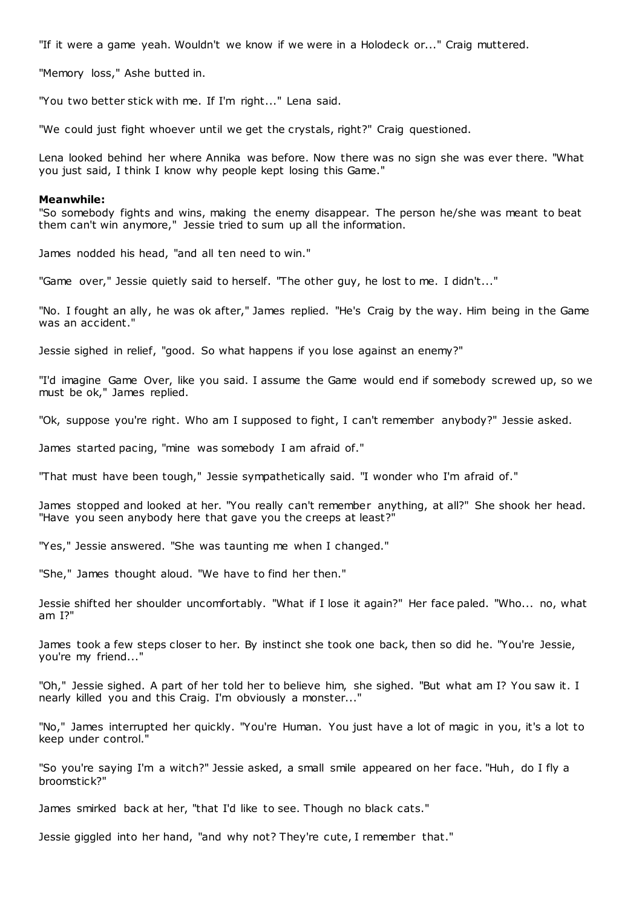"If it were a game yeah. Wouldn't we know if we were in a Holodeck or..." Craig muttered.

"Memory loss," Ashe butted in.

"You two better stick with me. If I'm right..." Lena said.

"We could just fight whoever until we get the crystals, right?" Craig questioned.

Lena looked behind her where Annika was before. Now there was no sign she was ever there. "What you just said, I think I know why people kept losing this Game."

#### **Meanwhile:**

"So somebody fights and wins, making the enemy disappear. The person he/she was meant to beat them can't win anymore," Jessie tried to sum up all the information.

James nodded his head, "and all ten need to win."

"Game over," Jessie quietly said to herself. "The other guy, he lost to me. I didn't..."

"No. I fought an ally, he was ok after," James replied. "He's Craig by the way. Him being in the Game was an accident."

Jessie sighed in relief, "good. So what happens if you lose against an enemy?"

"I'd imagine Game Over, like you said. I assume the Game would end if somebody screwed up, so we must be ok," James replied.

"Ok, suppose you're right. Who am I supposed to fight, I can't remember anybody?" Jessie asked.

James started pacing, "mine was somebody I am afraid of."

"That must have been tough," Jessie sympathetically said. "I wonder who I'm afraid of."

James stopped and looked at her. "You really can't remember anything, at all?" She shook her head. "Have you seen anybody here that gave you the creeps at least?"

"Yes," Jessie answered. "She was taunting me when I changed."

"She," James thought aloud. "We have to find her then."

Jessie shifted her shoulder uncomfortably. "What if I lose it again?" Her face paled. "Who... no, what am I?"

James took a few steps closer to her. By instinct she took one back, then so did he. "You're Jessie, you're my friend..."

"Oh," Jessie sighed. A part of her told her to believe him, she sighed. "But what am I? You saw it. I nearly killed you and this Craig. I'm obviously a monster..."

"No," James interrupted her quickly. "You're Human. You just have a lot of magic in you, it's a lot to keep under control."

"So you're saying I'm a witch?" Jessie asked, a small smile appeared on her face. "Huh, do I fly a broomstick?"

James smirked back at her, "that I'd like to see. Though no black cats."

Jessie giggled into her hand, "and why not? They're cute, I remember that."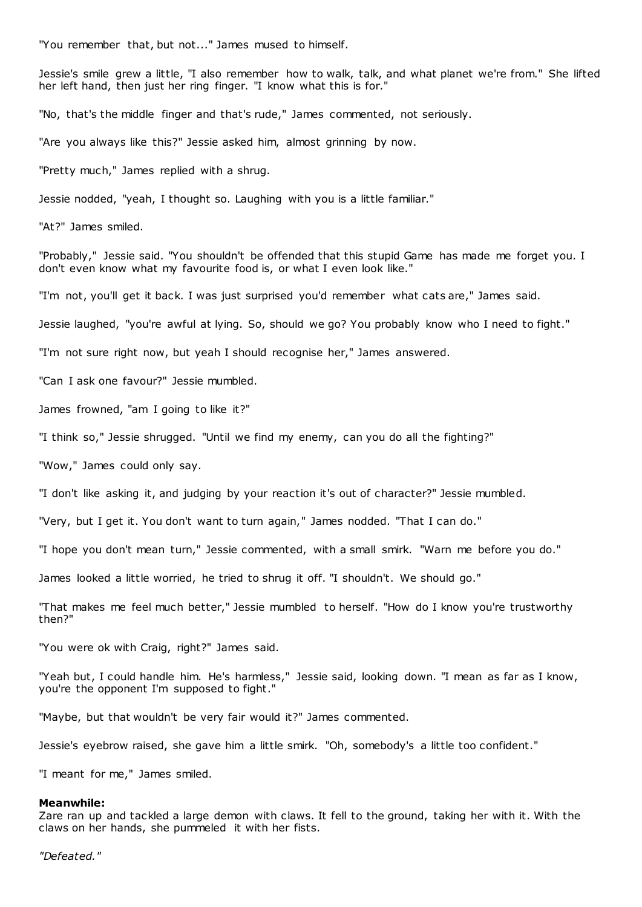"You remember that, but not..." James mused to himself.

Jessie's smile grew a little, "I also remember how to walk, talk, and what planet we're from." She lifted her left hand, then just her ring finger. "I know what this is for."

"No, that's the middle finger and that's rude," James commented, not seriously.

"Are you always like this?" Jessie asked him, almost grinning by now.

"Pretty much," James replied with a shrug.

Jessie nodded, "yeah, I thought so. Laughing with you is a little familiar."

"At?" James smiled.

"Probably," Jessie said. "You shouldn't be offended that this stupid Game has made me forget you. I don't even know what my favourite food is, or what I even look like."

"I'm not, you'll get it back. I was just surprised you'd remember what cats are," James said.

Jessie laughed, "you're awful at lying. So, should we go? You probably know who I need to fight."

"I'm not sure right now, but yeah I should recognise her," James answered.

"Can I ask one favour?" Jessie mumbled.

James frowned, "am I going to like it?"

"I think so," Jessie shrugged. "Until we find my enemy, can you do all the fighting?"

"Wow," James could only say.

"I don't like asking it, and judging by your reaction it's out of character?" Jessie mumbled.

"Very, but I get it. You don't want to turn again," James nodded. "That I can do."

"I hope you don't mean turn," Jessie commented, with a small smirk. "Warn me before you do."

James looked a little worried, he tried to shrug it off. "I shouldn't. We should go."

"That makes me feel much better," Jessie mumbled to herself. "How do I know you're trustworthy then?"

"You were ok with Craig, right?" James said.

"Yeah but, I could handle him. He's harmless," Jessie said, looking down. "I mean as far as I know, you're the opponent I'm supposed to fight."

"Maybe, but that wouldn't be very fair would it?" James commented.

Jessie's eyebrow raised, she gave him a little smirk. "Oh, somebody's a little too confident."

"I meant for me," James smiled.

## **Meanwhile:**

Zare ran up and tackled a large demon with claws. It fell to the ground, taking her with it. With the claws on her hands, she pummeled it with her fists.

*"Defeated."*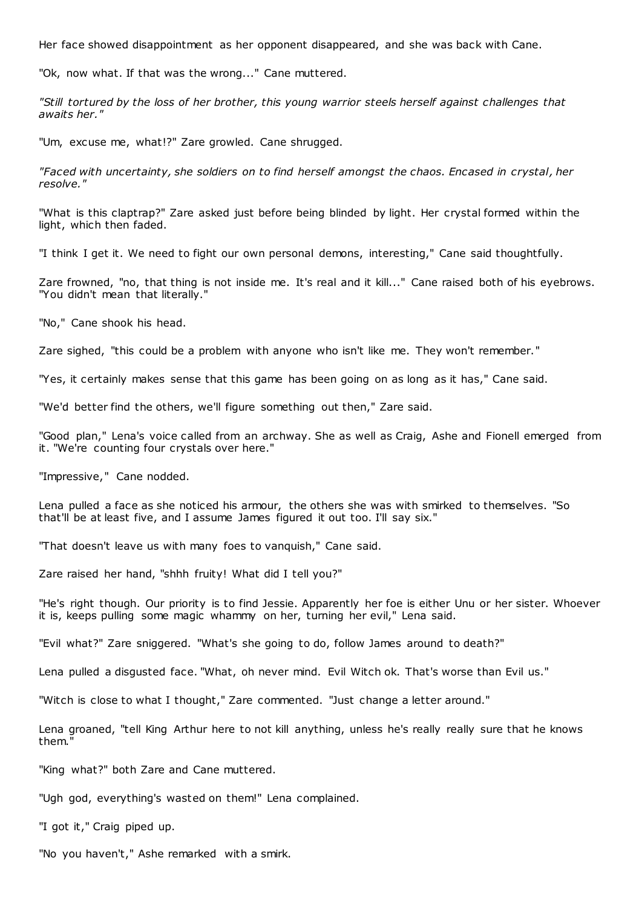Her face showed disappointment as her opponent disappeared, and she was back with Cane.

"Ok, now what. If that was the wrong..." Cane muttered.

*"Still tortured by the loss of her brother, this young warrior steels herself against challenges that awaits her."*

"Um, excuse me, what!?" Zare growled. Cane shrugged.

*"Faced with uncertainty, she soldiers on to find herself amongst the chaos. Encased in crystal, her resolve."*

"What is this claptrap?" Zare asked just before being blinded by light. Her crystal formed within the light, which then faded.

"I think I get it. We need to fight our own personal demons, interesting," Cane said thoughtfully.

Zare frowned, "no, that thing is not inside me. It's real and it kill..." Cane raised both of his eyebrows. "You didn't mean that literally."

"No," Cane shook his head.

Zare sighed, "this could be a problem with anyone who isn't like me. They won't remember."

"Yes, it certainly makes sense that this game has been going on as long as it has," Cane said.

"We'd better find the others, we'll figure something out then," Zare said.

"Good plan," Lena's voice called from an archway. She as well as Craig, Ashe and Fionell emerged from it. "We're counting four crystals over here."

"Impressive," Cane nodded.

Lena pulled a face as she noticed his armour, the others she was with smirked to themselves. "So that'll be at least five, and I assume James figured it out too. I'll say six."

"That doesn't leave us with many foes to vanquish," Cane said.

Zare raised her hand, "shhh fruity! What did I tell you?"

"He's right though. Our priority is to find Jessie. Apparently her foe is either Unu or her sister. Whoever it is, keeps pulling some magic whammy on her, turning her evil," Lena said.

"Evil what?" Zare sniggered. "What's she going to do, follow James around to death?"

Lena pulled a disgusted face. "What, oh never mind. Evil Witch ok. That's worse than Evil us."

"Witch is close to what I thought," Zare commented. "Just change a letter around."

Lena groaned, "tell King Arthur here to not kill anything, unless he's really really sure that he knows them."

"King what?" both Zare and Cane muttered.

"Ugh god, everything's wasted on them!" Lena complained.

"I got it," Craig piped up.

"No you haven't," Ashe remarked with a smirk.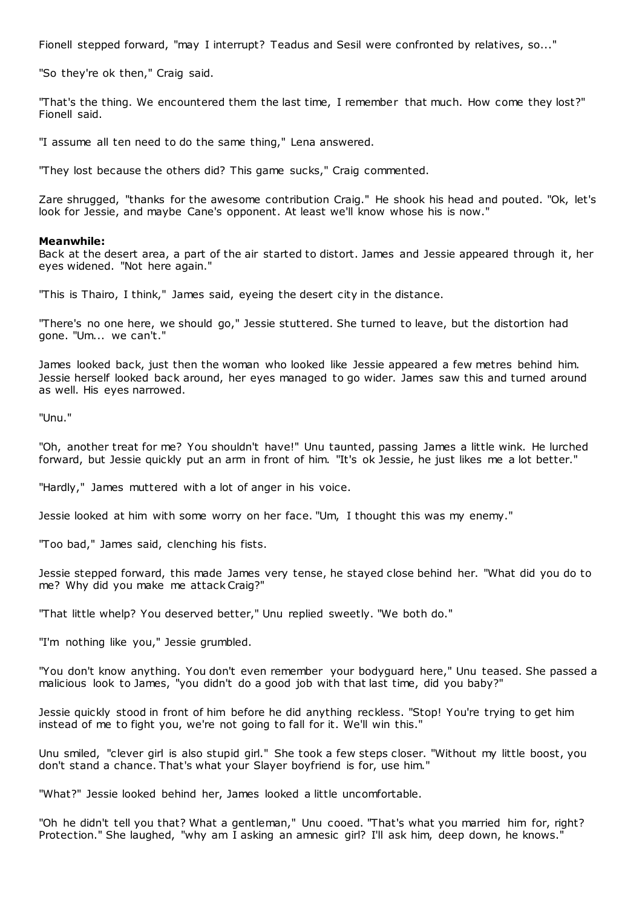Fionell stepped forward, "may I interrupt? Teadus and Sesil were confronted by relatives, so..."

"So they're ok then," Craig said.

"That's the thing. We encountered them the last time, I remember that much. How come they lost?" Fionell said.

"I assume all ten need to do the same thing," Lena answered.

"They lost because the others did? This game sucks," Craig commented.

Zare shrugged, "thanks for the awesome contribution Craig." He shook his head and pouted. "Ok, let's look for Jessie, and maybe Cane's opponent. At least we'll know whose his is now."

#### **Meanwhile:**

Back at the desert area, a part of the air started to distort. James and Jessie appeared through it, her eyes widened. "Not here again."

"This is Thairo, I think," James said, eyeing the desert city in the distance.

"There's no one here, we should go," Jessie stuttered. She turned to leave, but the distortion had gone. "Um... we can't."

James looked back, just then the woman who looked like Jessie appeared a few metres behind him. Jessie herself looked back around, her eyes managed to go wider. James saw this and turned around as well. His eyes narrowed.

"Unu."

"Oh, another treat for me? You shouldn't have!" Unu taunted, passing James a little wink. He lurched forward, but Jessie quickly put an arm in front of him. "It's ok Jessie, he just likes me a lot better."

"Hardly," James muttered with a lot of anger in his voice.

Jessie looked at him with some worry on her face. "Um, I thought this was my enemy."

"Too bad," James said, clenching his fists.

Jessie stepped forward, this made James very tense, he stayed close behind her. "What did you do to me? Why did you make me attack Craig?"

"That little whelp? You deserved better," Unu replied sweetly. "We both do."

"I'm nothing like you," Jessie grumbled.

"You don't know anything. You don't even remember your bodyguard here," Unu teased. She passed a malicious look to James, "you didn't do a good job with that last time, did you baby?"

Jessie quickly stood in front of him before he did anything reckless. "Stop! You're trying to get him instead of me to fight you, we're not going to fall for it. We'll win this."

Unu smiled, "clever girl is also stupid girl." She took a few steps closer. "Without my little boost, you don't stand a chance. That's what your Slayer boyfriend is for, use him."

"What?" Jessie looked behind her, James looked a little uncomfortable.

"Oh he didn't tell you that? What a gentleman," Unu cooed. "That's what you married him for, right? Protection." She laughed, "why am I asking an amnesic girl? I'll ask him, deep down, he knows.'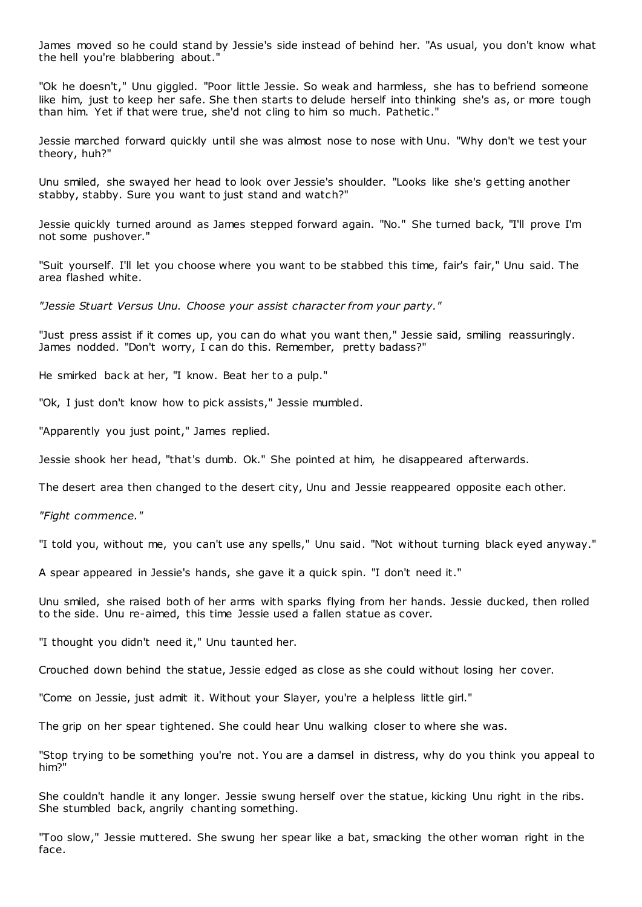James moved so he could stand by Jessie's side instead of behind her. "As usual, you don't know what the hell you're blabbering about."

"Ok he doesn't," Unu giggled. "Poor little Jessie. So weak and harmless, she has to befriend someone like him, just to keep her safe. She then starts to delude herself into thinking she's as, or more tough than him. Yet if that were true, she'd not cling to him so much. Pathetic ."

Jessie marched forward quickly until she was almost nose to nose with Unu. "Why don't we test your theory, huh?"

Unu smiled, she swayed her head to look over Jessie's shoulder. "Looks like she's getting another stabby, stabby. Sure you want to just stand and watch?"

Jessie quickly turned around as James stepped forward again. "No." She turned back, "I'll prove I'm not some pushover."

"Suit yourself. I'll let you choose where you want to be stabbed this time, fair's fair," Unu said. The area flashed white.

*"Jessie Stuart Versus Unu. Choose your assist character from your party."*

"Just press assist if it comes up, you can do what you want then," Jessie said, smiling reassuringly. James nodded. "Don't worry, I can do this. Remember, pretty badass?"

He smirked back at her, "I know. Beat her to a pulp."

"Ok, I just don't know how to pick assists," Jessie mumbled.

"Apparently you just point," James replied.

Jessie shook her head, "that's dumb. Ok." She pointed at him, he disappeared afterwards.

The desert area then changed to the desert city, Unu and Jessie reappeared opposite each other.

*"Fight commence."*

"I told you, without me, you can't use any spells," Unu said. "Not without turning black eyed anyway."

A spear appeared in Jessie's hands, she gave it a quick spin. "I don't need it."

Unu smiled, she raised both of her arms with sparks flying from her hands. Jessie ducked, then rolled to the side. Unu re-aimed, this time Jessie used a fallen statue as cover.

"I thought you didn't need it," Unu taunted her.

Crouched down behind the statue, Jessie edged as close as she could without losing her cover.

"Come on Jessie, just admit it. Without your Slayer, you're a helpless little girl."

The grip on her spear tightened. She could hear Unu walking closer to where she was.

"Stop trying to be something you're not. You are a damsel in distress, why do you think you appeal to him?"

She couldn't handle it any longer. Jessie swung herself over the statue, kicking Unu right in the ribs. She stumbled back, angrily chanting something.

"Too slow," Jessie muttered. She swung her spear like a bat, smacking the other woman right in the face.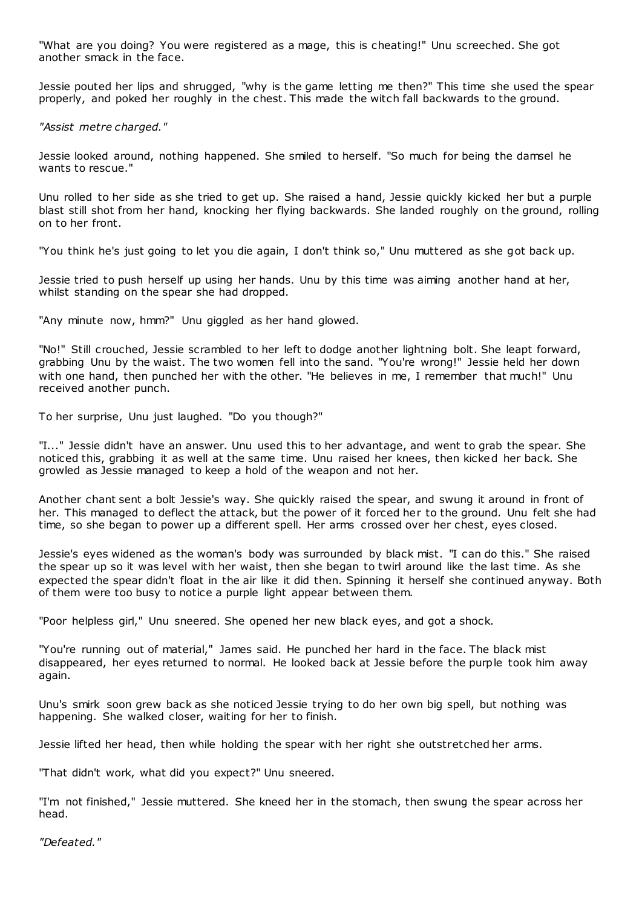"What are you doing? You were registered as a mage, this is cheating!" Unu screeched. She got another smack in the face.

Jessie pouted her lips and shrugged, "why is the game letting me then?" This time she used the spear properly, and poked her roughly in the chest. This made the witch fall backwards to the ground.

# *"Assist metre charged."*

Jessie looked around, nothing happened. She smiled to herself. "So much for being the damsel he wants to rescue."

Unu rolled to her side as she tried to get up. She raised a hand, Jessie quickly kicked her but a purple blast still shot from her hand, knocking her flying backwards. She landed roughly on the ground, rolling on to her front.

"You think he's just going to let you die again, I don't think so," Unu muttered as she got back up.

Jessie tried to push herself up using her hands. Unu by this time was aiming another hand at her, whilst standing on the spear she had dropped.

"Any minute now, hmm?" Unu giggled as her hand glowed.

"No!" Still crouched, Jessie scrambled to her left to dodge another lightning bolt. She leapt forward, grabbing Unu by the waist. The two women fell into the sand. "You're wrong!" Jessie held her down with one hand, then punched her with the other. "He believes in me, I remember that much!" Unu received another punch.

To her surprise, Unu just laughed. "Do you though?"

"I..." Jessie didn't have an answer. Unu used this to her advantage, and went to grab the spear. She noticed this, grabbing it as well at the same time. Unu raised her knees, then kicked her back. She growled as Jessie managed to keep a hold of the weapon and not her.

Another chant sent a bolt Jessie's way. She quickly raised the spear, and swung it around in front of her. This managed to deflect the attack, but the power of it forced her to the ground. Unu felt she had time, so she began to power up a different spell. Her arms crossed over her chest, eyes closed.

Jessie's eyes widened as the woman's body was surrounded by black mist. "I can do this." She raised the spear up so it was level with her waist, then she began to twirl around like the last time. As she expected the spear didn't float in the air like it did then. Spinning it herself she continued anyway. Both of them were too busy to notice a purple light appear between them.

"Poor helpless girl," Unu sneered. She opened her new black eyes, and got a shock.

"You're running out of material," James said. He punched her hard in the face. The black mist disappeared, her eyes returned to normal. He looked back at Jessie before the purple took him away again.

Unu's smirk soon grew back as she noticed Jessie trying to do her own big spell, but nothing was happening. She walked closer, waiting for her to finish.

Jessie lifted her head, then while holding the spear with her right she outstretched her arms.

"That didn't work, what did you expect?" Unu sneered.

"I'm not finished," Jessie muttered. She kneed her in the stomach, then swung the spear across her head.

*"Defeated."*